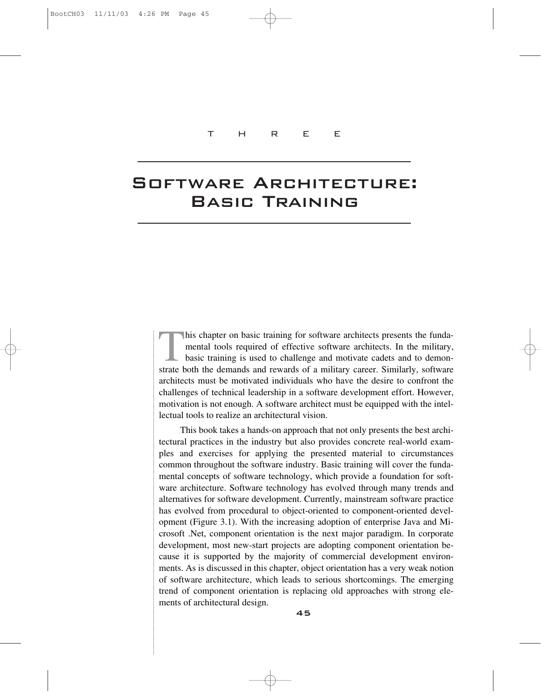#### THREE E

# Software Architecture: **BASIC TRAINING**

This chapter on basic training for software architects presents the fundamental tools required of effective software architects. In the military, basic training is used to challenge and motivate cadets and to demonstrate both the demands and rewards of a military career. Similarly, software architects must be motivated individuals who have the desire to confront the challenges of technical leadership in a software development effort. However, motivation is not enough. A software architect must be equipped with the intellectual tools to realize an architectural vision.

This book takes a hands-on approach that not only presents the best architectural practices in the industry but also provides concrete real-world examples and exercises for applying the presented material to circumstances common throughout the software industry. Basic training will cover the fundamental concepts of software technology, which provide a foundation for software architecture. Software technology has evolved through many trends and alternatives for software development. Currently, mainstream software practice has evolved from procedural to object-oriented to component-oriented development (Figure 3.1). With the increasing adoption of enterprise Java and Microsoft .Net, component orientation is the next major paradigm. In corporate development, most new-start projects are adopting component orientation because it is supported by the majority of commercial development environments. As is discussed in this chapter, object orientation has a very weak notion of software architecture, which leads to serious shortcomings. The emerging trend of component orientation is replacing old approaches with strong elements of architectural design.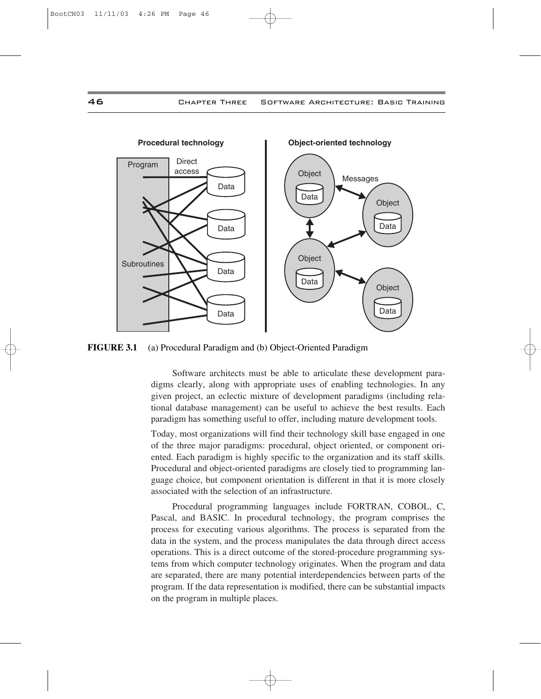

**FIGURE 3.1** (a) Procedural Paradigm and (b) Object-Oriented Paradigm

Software architects must be able to articulate these development paradigms clearly, along with appropriate uses of enabling technologies. In any given project, an eclectic mixture of development paradigms (including relational database management) can be useful to achieve the best results. Each paradigm has something useful to offer, including mature development tools.

Today, most organizations will find their technology skill base engaged in one of the three major paradigms: procedural, object oriented, or component oriented. Each paradigm is highly specific to the organization and its staff skills. Procedural and object-oriented paradigms are closely tied to programming language choice, but component orientation is different in that it is more closely associated with the selection of an infrastructure.

Procedural programming languages include FORTRAN, COBOL, C, Pascal, and BASIC. In procedural technology, the program comprises the process for executing various algorithms. The process is separated from the data in the system, and the process manipulates the data through direct access operations. This is a direct outcome of the stored-procedure programming systems from which computer technology originates. When the program and data are separated, there are many potential interdependencies between parts of the program. If the data representation is modified, there can be substantial impacts on the program in multiple places.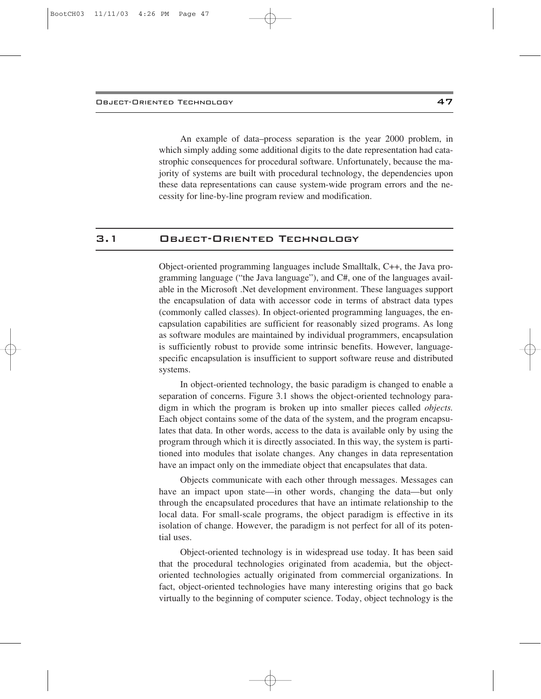An example of data–process separation is the year 2000 problem, in which simply adding some additional digits to the date representation had catastrophic consequences for procedural software. Unfortunately, because the majority of systems are built with procedural technology, the dependencies upon these data representations can cause system-wide program errors and the necessity for line-by-line program review and modification.

# 3.1 Object-Oriented Technology

Object-oriented programming languages include Smalltalk, C++, the Java programming language ("the Java language"), and C#, one of the languages available in the Microsoft .Net development environment. These languages support the encapsulation of data with accessor code in terms of abstract data types (commonly called classes). In object-oriented programming languages, the encapsulation capabilities are sufficient for reasonably sized programs. As long as software modules are maintained by individual programmers, encapsulation is sufficiently robust to provide some intrinsic benefits. However, languagespecific encapsulation is insufficient to support software reuse and distributed systems.

In object-oriented technology, the basic paradigm is changed to enable a separation of concerns. Figure 3.1 shows the object-oriented technology paradigm in which the program is broken up into smaller pieces called *objects.* Each object contains some of the data of the system, and the program encapsulates that data. In other words, access to the data is available only by using the program through which it is directly associated. In this way, the system is partitioned into modules that isolate changes. Any changes in data representation have an impact only on the immediate object that encapsulates that data.

Objects communicate with each other through messages. Messages can have an impact upon state—in other words, changing the data—but only through the encapsulated procedures that have an intimate relationship to the local data. For small-scale programs, the object paradigm is effective in its isolation of change. However, the paradigm is not perfect for all of its potential uses.

Object-oriented technology is in widespread use today. It has been said that the procedural technologies originated from academia, but the objectoriented technologies actually originated from commercial organizations. In fact, object-oriented technologies have many interesting origins that go back virtually to the beginning of computer science. Today, object technology is the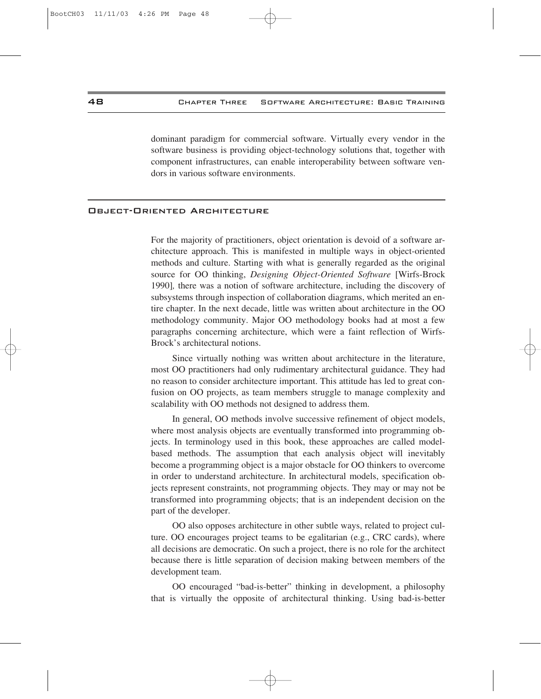dominant paradigm for commercial software. Virtually every vendor in the software business is providing object-technology solutions that, together with component infrastructures, can enable interoperability between software vendors in various software environments.

# Object-Oriented Architecture

For the majority of practitioners, object orientation is devoid of a software architecture approach. This is manifested in multiple ways in object-oriented methods and culture. Starting with what is generally regarded as the original source for OO thinking, *Designing Object-Oriented Software* [Wirfs-Brock 1990]*,* there was a notion of software architecture, including the discovery of subsystems through inspection of collaboration diagrams, which merited an entire chapter. In the next decade, little was written about architecture in the OO methodology community. Major OO methodology books had at most a few paragraphs concerning architecture, which were a faint reflection of Wirfs-Brock's architectural notions.

Since virtually nothing was written about architecture in the literature, most OO practitioners had only rudimentary architectural guidance. They had no reason to consider architecture important. This attitude has led to great confusion on OO projects, as team members struggle to manage complexity and scalability with OO methods not designed to address them.

In general, OO methods involve successive refinement of object models, where most analysis objects are eventually transformed into programming objects. In terminology used in this book, these approaches are called modelbased methods. The assumption that each analysis object will inevitably become a programming object is a major obstacle for OO thinkers to overcome in order to understand architecture. In architectural models, specification objects represent constraints, not programming objects. They may or may not be transformed into programming objects; that is an independent decision on the part of the developer.

OO also opposes architecture in other subtle ways, related to project culture. OO encourages project teams to be egalitarian (e.g., CRC cards), where all decisions are democratic. On such a project, there is no role for the architect because there is little separation of decision making between members of the development team.

OO encouraged "bad-is-better" thinking in development, a philosophy that is virtually the opposite of architectural thinking. Using bad-is-better

BootCH03 11/11/03 4:26 PM Page 48

#### 48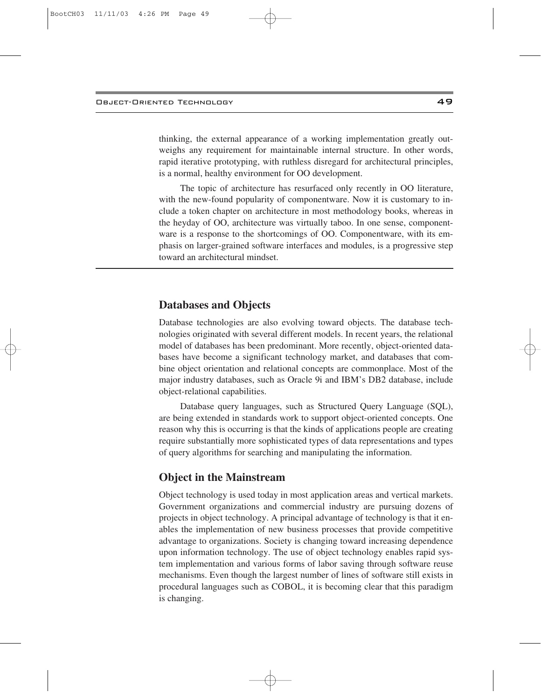thinking, the external appearance of a working implementation greatly outweighs any requirement for maintainable internal structure. In other words, rapid iterative prototyping, with ruthless disregard for architectural principles, is a normal, healthy environment for OO development.

The topic of architecture has resurfaced only recently in OO literature, with the new-found popularity of componentware. Now it is customary to include a token chapter on architecture in most methodology books, whereas in the heyday of OO, architecture was virtually taboo. In one sense, componentware is a response to the shortcomings of OO. Componentware, with its emphasis on larger-grained software interfaces and modules, is a progressive step toward an architectural mindset.

# **Databases and Objects**

Database technologies are also evolving toward objects. The database technologies originated with several different models. In recent years, the relational model of databases has been predominant. More recently, object-oriented databases have become a significant technology market, and databases that combine object orientation and relational concepts are commonplace. Most of the major industry databases, such as Oracle 9i and IBM's DB2 database, include object-relational capabilities.

Database query languages, such as Structured Query Language (SQL), are being extended in standards work to support object-oriented concepts. One reason why this is occurring is that the kinds of applications people are creating require substantially more sophisticated types of data representations and types of query algorithms for searching and manipulating the information.

# **Object in the Mainstream**

Object technology is used today in most application areas and vertical markets. Government organizations and commercial industry are pursuing dozens of projects in object technology. A principal advantage of technology is that it enables the implementation of new business processes that provide competitive advantage to organizations. Society is changing toward increasing dependence upon information technology. The use of object technology enables rapid system implementation and various forms of labor saving through software reuse mechanisms. Even though the largest number of lines of software still exists in procedural languages such as COBOL, it is becoming clear that this paradigm is changing.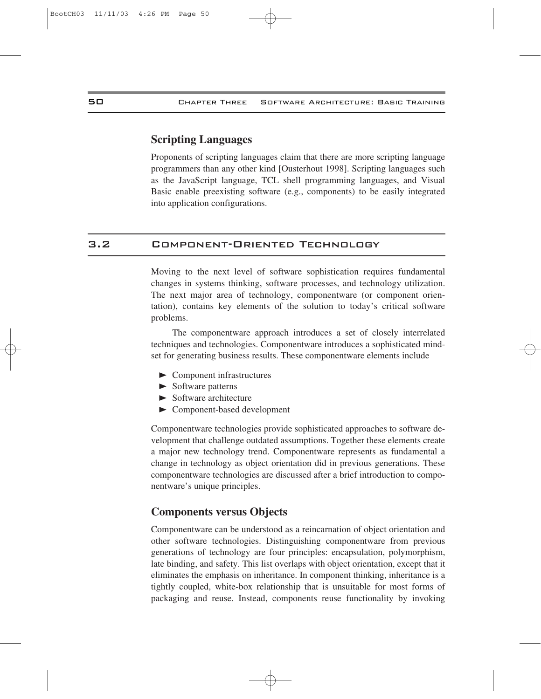# **Scripting Languages**

Proponents of scripting languages claim that there are more scripting language programmers than any other kind [Ousterhout 1998]. Scripting languages such as the JavaScript language, TCL shell programming languages, and Visual Basic enable preexisting software (e.g., components) to be easily integrated into application configurations.

# 3.2 Component-Oriented Technology

Moving to the next level of software sophistication requires fundamental changes in systems thinking, software processes, and technology utilization. The next major area of technology, componentware (or component orientation), contains key elements of the solution to today's critical software problems.

The componentware approach introduces a set of closely interrelated techniques and technologies. Componentware introduces a sophisticated mindset for generating business results. These componentware elements include

- $\blacktriangleright$  Component infrastructures
- $\blacktriangleright$  Software patterns
- $\blacktriangleright$  Software architecture
- ▶ Component-based development

Componentware technologies provide sophisticated approaches to software development that challenge outdated assumptions. Together these elements create a major new technology trend. Componentware represents as fundamental a change in technology as object orientation did in previous generations. These componentware technologies are discussed after a brief introduction to componentware's unique principles.

# **Components versus Objects**

Componentware can be understood as a reincarnation of object orientation and other software technologies. Distinguishing componentware from previous generations of technology are four principles: encapsulation, polymorphism, late binding, and safety. This list overlaps with object orientation, except that it eliminates the emphasis on inheritance. In component thinking, inheritance is a tightly coupled, white-box relationship that is unsuitable for most forms of packaging and reuse. Instead, components reuse functionality by invoking

# 50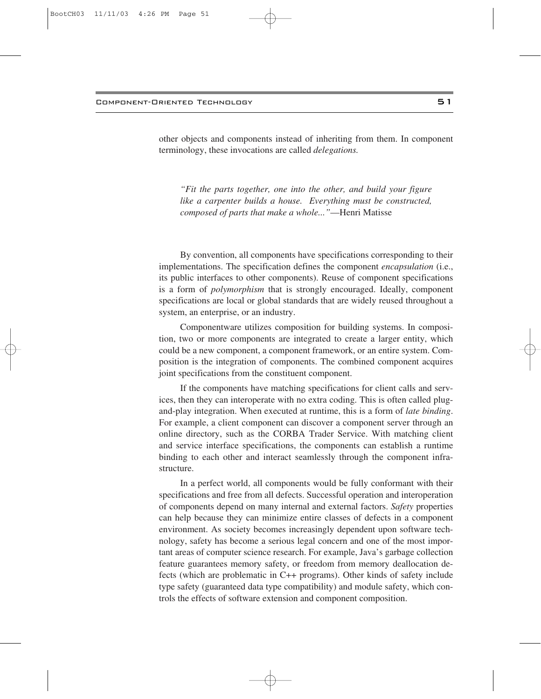BootCH03 11/11/03 4:26 PM Page 51

other objects and components instead of inheriting from them. In component terminology, these invocations are called *delegations.*

*"Fit the parts together, one into the other, and build your figure like a carpenter builds a house. Everything must be constructed, composed of parts that make a whole..."*—Henri Matisse

By convention, all components have specifications corresponding to their implementations. The specification defines the component *encapsulation* (i.e., its public interfaces to other components). Reuse of component specifications is a form of *polymorphism* that is strongly encouraged. Ideally, component specifications are local or global standards that are widely reused throughout a system, an enterprise, or an industry.

Componentware utilizes composition for building systems. In composition, two or more components are integrated to create a larger entity, which could be a new component, a component framework, or an entire system. Composition is the integration of components. The combined component acquires joint specifications from the constituent component.

If the components have matching specifications for client calls and services, then they can interoperate with no extra coding. This is often called plugand-play integration. When executed at runtime, this is a form of *late binding*. For example, a client component can discover a component server through an online directory, such as the CORBA Trader Service. With matching client and service interface specifications, the components can establish a runtime binding to each other and interact seamlessly through the component infrastructure.

In a perfect world, all components would be fully conformant with their specifications and free from all defects. Successful operation and interoperation of components depend on many internal and external factors. *Safety* properties can help because they can minimize entire classes of defects in a component environment. As society becomes increasingly dependent upon software technology, safety has become a serious legal concern and one of the most important areas of computer science research. For example, Java's garbage collection feature guarantees memory safety, or freedom from memory deallocation defects (which are problematic in C++ programs). Other kinds of safety include type safety (guaranteed data type compatibility) and module safety, which controls the effects of software extension and component composition.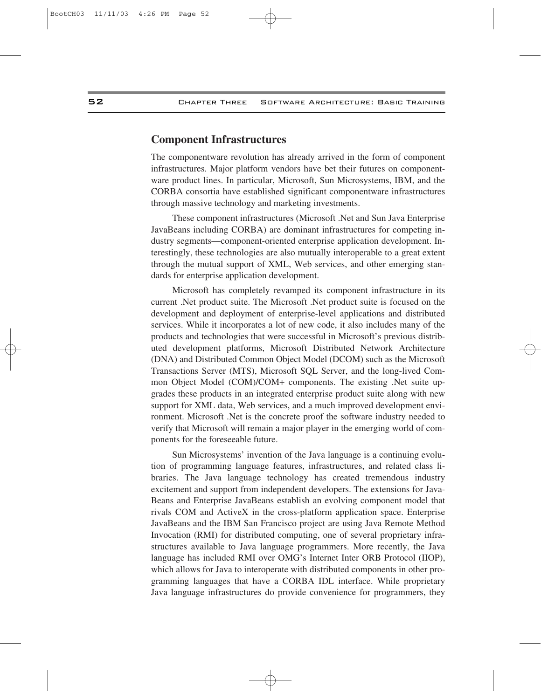# **Component Infrastructures**

The componentware revolution has already arrived in the form of component infrastructures. Major platform vendors have bet their futures on componentware product lines. In particular, Microsoft, Sun Microsystems, IBM, and the CORBA consortia have established significant componentware infrastructures through massive technology and marketing investments.

These component infrastructures (Microsoft .Net and Sun Java Enterprise JavaBeans including CORBA) are dominant infrastructures for competing industry segments—component-oriented enterprise application development. Interestingly, these technologies are also mutually interoperable to a great extent through the mutual support of XML, Web services, and other emerging standards for enterprise application development.

Microsoft has completely revamped its component infrastructure in its current .Net product suite. The Microsoft .Net product suite is focused on the development and deployment of enterprise-level applications and distributed services. While it incorporates a lot of new code, it also includes many of the products and technologies that were successful in Microsoft's previous distributed development platforms, Microsoft Distributed Network Architecture (DNA) and Distributed Common Object Model (DCOM) such as the Microsoft Transactions Server (MTS), Microsoft SQL Server, and the long-lived Common Object Model (COM)/COM+ components. The existing .Net suite upgrades these products in an integrated enterprise product suite along with new support for XML data, Web services, and a much improved development environment. Microsoft .Net is the concrete proof the software industry needed to verify that Microsoft will remain a major player in the emerging world of components for the foreseeable future.

Sun Microsystems' invention of the Java language is a continuing evolution of programming language features, infrastructures, and related class libraries. The Java language technology has created tremendous industry excitement and support from independent developers. The extensions for Java-Beans and Enterprise JavaBeans establish an evolving component model that rivals COM and ActiveX in the cross-platform application space. Enterprise JavaBeans and the IBM San Francisco project are using Java Remote Method Invocation (RMI) for distributed computing, one of several proprietary infrastructures available to Java language programmers. More recently, the Java language has included RMI over OMG's Internet Inter ORB Protocol (IIOP), which allows for Java to interoperate with distributed components in other programming languages that have a CORBA IDL interface. While proprietary Java language infrastructures do provide convenience for programmers, they

BootCH03 11/11/03 4:26 PM Page 52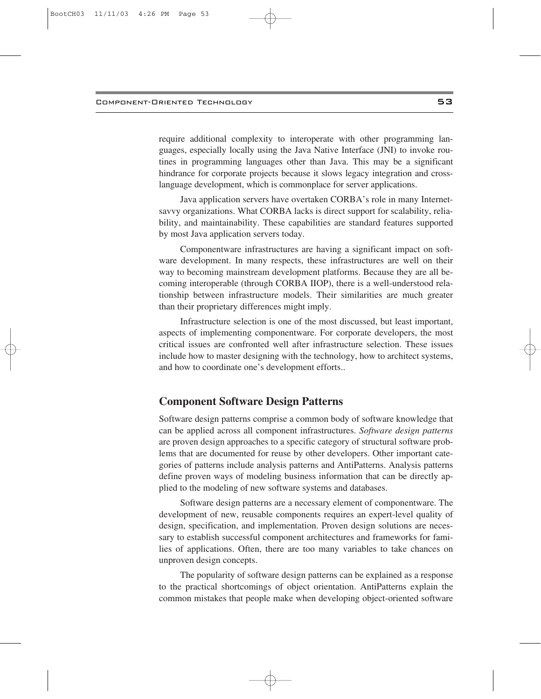### BootCH03 11/11/03 4:26 PM Page 53

### Component-Oriented Technology

require additional complexity to interoperate with other programming languages, especially locally using the Java Native Interface (JNI) to invoke routines in programming languages other than Java. This may be a significant hindrance for corporate projects because it slows legacy integration and crosslanguage development, which is commonplace for server applications.

Java application servers have overtaken CORBA's role in many Internetsavvy organizations. What CORBA lacks is direct support for scalability, reliability, and maintainability. These capabilities are standard features supported by most Java application servers today.

Componentware infrastructures are having a significant impact on software development. In many respects, these infrastructures are well on their way to becoming mainstream development platforms. Because they are all becoming interoperable (through CORBA IIOP), there is a well-understood relationship between infrastructure models. Their similarities are much greater than their proprietary differences might imply.

Infrastructure selection is one of the most discussed, but least important, aspects of implementing componentware. For corporate developers, the most critical issues are confronted well after infrastructure selection. These issues include how to master designing with the technology, how to architect systems, and how to coordinate one's development efforts..

# **Component Software Design Patterns**

Software design patterns comprise a common body of software knowledge that can be applied across all component infrastructures. *Software design patterns* are proven design approaches to a specific category of structural software problems that are documented for reuse by other developers. Other important categories of patterns include analysis patterns and AntiPatterns. Analysis patterns define proven ways of modeling business information that can be directly applied to the modeling of new software systems and databases.

Software design patterns are a necessary element of componentware. The development of new, reusable components requires an expert-level quality of design, specification, and implementation. Proven design solutions are necessary to establish successful component architectures and frameworks for families of applications. Often, there are too many variables to take chances on unproven design concepts.

The popularity of software design patterns can be explained as a response to the practical shortcomings of object orientation. AntiPatterns explain the common mistakes that people make when developing object-oriented software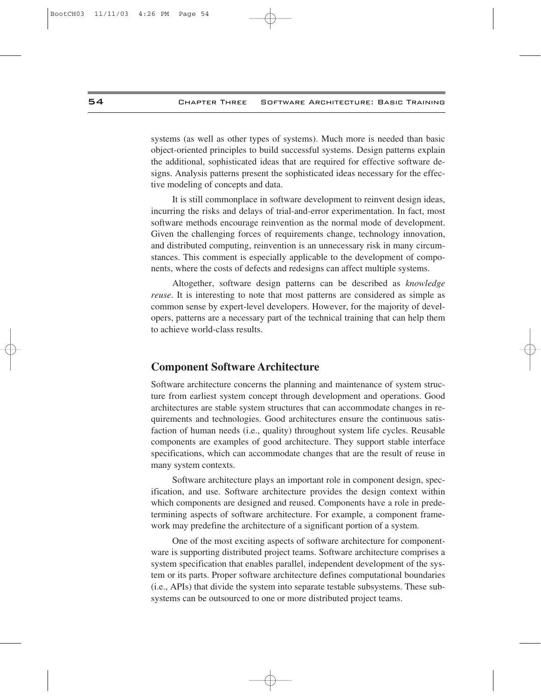systems (as well as other types of systems). Much more is needed than basic object-oriented principles to build successful systems. Design patterns explain the additional, sophisticated ideas that are required for effective software designs. Analysis patterns present the sophisticated ideas necessary for the effective modeling of concepts and data.

It is still commonplace in software development to reinvent design ideas, incurring the risks and delays of trial-and-error experimentation. In fact, most software methods encourage reinvention as the normal mode of development. Given the challenging forces of requirements change, technology innovation, and distributed computing, reinvention is an unnecessary risk in many circumstances. This comment is especially applicable to the development of components, where the costs of defects and redesigns can affect multiple systems.

Altogether, software design patterns can be described as *knowledge reuse*. It is interesting to note that most patterns are considered as simple as common sense by expert-level developers. However, for the majority of developers, patterns are a necessary part of the technical training that can help them to achieve world-class results.

# **Component Software Architecture**

Software architecture concerns the planning and maintenance of system structure from earliest system concept through development and operations. Good architectures are stable system structures that can accommodate changes in requirements and technologies. Good architectures ensure the continuous satisfaction of human needs (i.e., quality) throughout system life cycles. Reusable components are examples of good architecture. They support stable interface specifications, which can accommodate changes that are the result of reuse in many system contexts.

Software architecture plays an important role in component design, specification, and use. Software architecture provides the design context within which components are designed and reused. Components have a role in predetermining aspects of software architecture. For example, a component framework may predefine the architecture of a significant portion of a system.

One of the most exciting aspects of software architecture for componentware is supporting distributed project teams. Software architecture comprises a system specification that enables parallel, independent development of the system or its parts. Proper software architecture defines computational boundaries (i.e., APIs) that divide the system into separate testable subsystems. These subsystems can be outsourced to one or more distributed project teams.

54

BootCH03 11/11/03 4:26 PM Page 54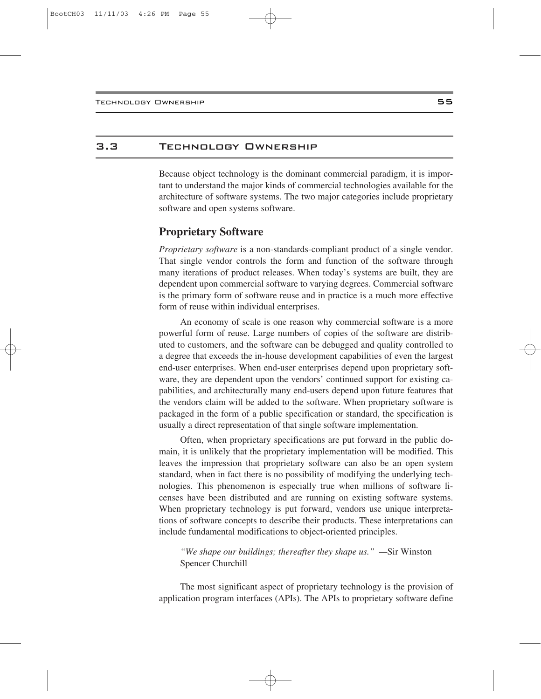# Technology Ownership

# 3.3 Technology Ownership

Because object technology is the dominant commercial paradigm, it is important to understand the major kinds of commercial technologies available for the architecture of software systems. The two major categories include proprietary software and open systems software.

# **Proprietary Software**

*Proprietary software* is a non-standards-compliant product of a single vendor. That single vendor controls the form and function of the software through many iterations of product releases. When today's systems are built, they are dependent upon commercial software to varying degrees. Commercial software is the primary form of software reuse and in practice is a much more effective form of reuse within individual enterprises.

An economy of scale is one reason why commercial software is a more powerful form of reuse. Large numbers of copies of the software are distributed to customers, and the software can be debugged and quality controlled to a degree that exceeds the in-house development capabilities of even the largest end-user enterprises. When end-user enterprises depend upon proprietary software, they are dependent upon the vendors' continued support for existing capabilities, and architecturally many end-users depend upon future features that the vendors claim will be added to the software. When proprietary software is packaged in the form of a public specification or standard, the specification is usually a direct representation of that single software implementation.

Often, when proprietary specifications are put forward in the public domain, it is unlikely that the proprietary implementation will be modified. This leaves the impression that proprietary software can also be an open system standard, when in fact there is no possibility of modifying the underlying technologies. This phenomenon is especially true when millions of software licenses have been distributed and are running on existing software systems. When proprietary technology is put forward, vendors use unique interpretations of software concepts to describe their products. These interpretations can include fundamental modifications to object-oriented principles.

*"We shape our buildings; thereafter they shape us." —*Sir Winston Spencer Churchill

The most significant aspect of proprietary technology is the provision of application program interfaces (APIs). The APIs to proprietary software define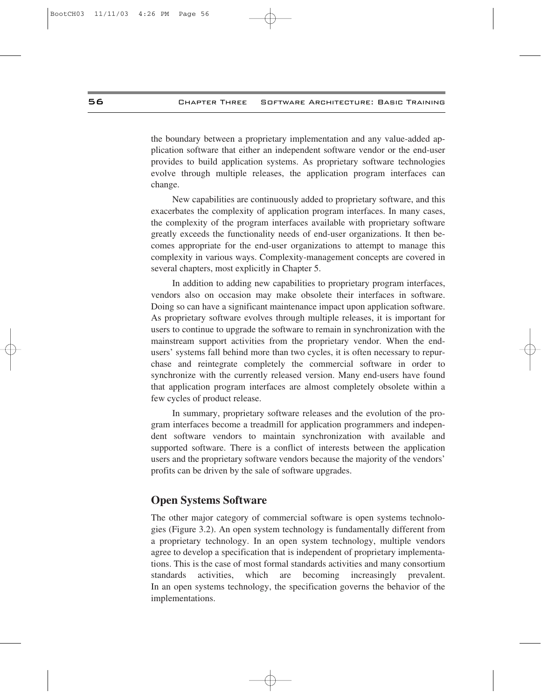BootCH03 11/11/03 4:26 PM Page 56

the boundary between a proprietary implementation and any value-added application software that either an independent software vendor or the end-user provides to build application systems. As proprietary software technologies evolve through multiple releases, the application program interfaces can change.

New capabilities are continuously added to proprietary software, and this exacerbates the complexity of application program interfaces. In many cases, the complexity of the program interfaces available with proprietary software greatly exceeds the functionality needs of end-user organizations. It then becomes appropriate for the end-user organizations to attempt to manage this complexity in various ways. Complexity-management concepts are covered in several chapters, most explicitly in Chapter 5.

In addition to adding new capabilities to proprietary program interfaces, vendors also on occasion may make obsolete their interfaces in software. Doing so can have a significant maintenance impact upon application software. As proprietary software evolves through multiple releases, it is important for users to continue to upgrade the software to remain in synchronization with the mainstream support activities from the proprietary vendor. When the endusers' systems fall behind more than two cycles, it is often necessary to repurchase and reintegrate completely the commercial software in order to synchronize with the currently released version. Many end-users have found that application program interfaces are almost completely obsolete within a few cycles of product release.

In summary, proprietary software releases and the evolution of the program interfaces become a treadmill for application programmers and independent software vendors to maintain synchronization with available and supported software. There is a conflict of interests between the application users and the proprietary software vendors because the majority of the vendors' profits can be driven by the sale of software upgrades.

# **Open Systems Software**

The other major category of commercial software is open systems technologies (Figure 3.2). An open system technology is fundamentally different from a proprietary technology. In an open system technology, multiple vendors agree to develop a specification that is independent of proprietary implementations. This is the case of most formal standards activities and many consortium standards activities, which are becoming increasingly prevalent. In an open systems technology, the specification governs the behavior of the implementations.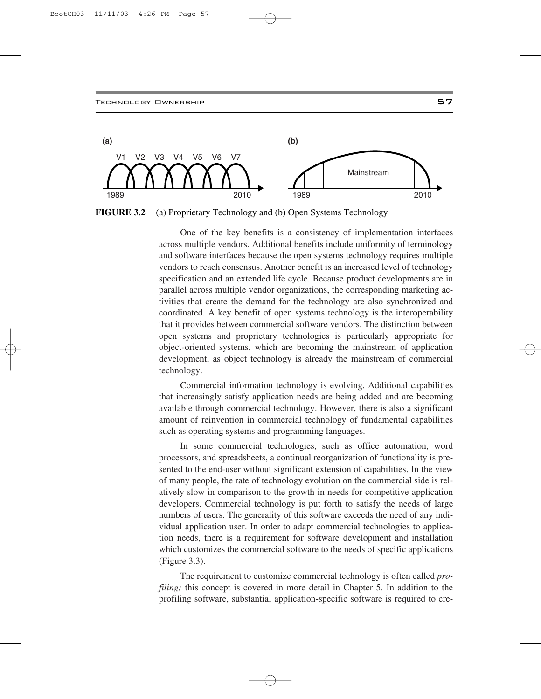#### Technology Ownership



**FIGURE 3.2** (a) Proprietary Technology and (b) Open Systems Technology

One of the key benefits is a consistency of implementation interfaces across multiple vendors. Additional benefits include uniformity of terminology and software interfaces because the open systems technology requires multiple vendors to reach consensus. Another benefit is an increased level of technology specification and an extended life cycle. Because product developments are in parallel across multiple vendor organizations, the corresponding marketing activities that create the demand for the technology are also synchronized and coordinated. A key benefit of open systems technology is the interoperability that it provides between commercial software vendors. The distinction between open systems and proprietary technologies is particularly appropriate for object-oriented systems, which are becoming the mainstream of application development, as object technology is already the mainstream of commercial technology.

Commercial information technology is evolving. Additional capabilities that increasingly satisfy application needs are being added and are becoming available through commercial technology. However, there is also a significant amount of reinvention in commercial technology of fundamental capabilities such as operating systems and programming languages.

In some commercial technologies, such as office automation, word processors, and spreadsheets, a continual reorganization of functionality is presented to the end-user without significant extension of capabilities. In the view of many people, the rate of technology evolution on the commercial side is relatively slow in comparison to the growth in needs for competitive application developers. Commercial technology is put forth to satisfy the needs of large numbers of users. The generality of this software exceeds the need of any individual application user. In order to adapt commercial technologies to application needs, there is a requirement for software development and installation which customizes the commercial software to the needs of specific applications (Figure 3.3).

The requirement to customize commercial technology is often called *profiling*; this concept is covered in more detail in Chapter 5. In addition to the profiling software, substantial application-specific software is required to cre-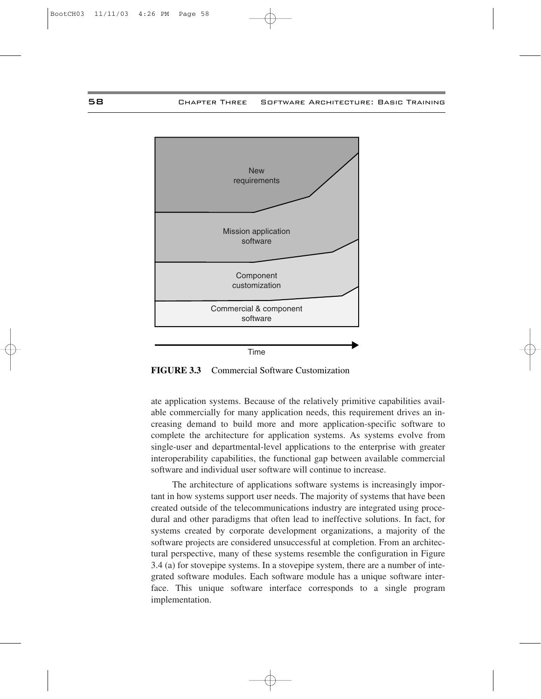

**FIGURE 3.3** Commercial Software Customization

ate application systems. Because of the relatively primitive capabilities available commercially for many application needs, this requirement drives an increasing demand to build more and more application-specific software to complete the architecture for application systems. As systems evolve from single-user and departmental-level applications to the enterprise with greater interoperability capabilities, the functional gap between available commercial software and individual user software will continue to increase.

The architecture of applications software systems is increasingly important in how systems support user needs. The majority of systems that have been created outside of the telecommunications industry are integrated using procedural and other paradigms that often lead to ineffective solutions. In fact, for systems created by corporate development organizations, a majority of the software projects are considered unsuccessful at completion. From an architectural perspective, many of these systems resemble the configuration in Figure 3.4 (a) for stovepipe systems. In a stovepipe system, there are a number of integrated software modules. Each software module has a unique software interface. This unique software interface corresponds to a single program implementation.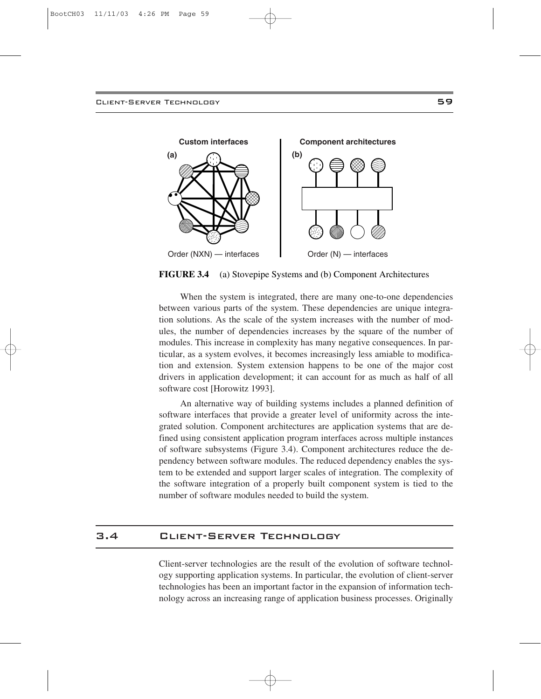

**FIGURE 3.4** (a) Stovepipe Systems and (b) Component Architectures

When the system is integrated, there are many one-to-one dependencies between various parts of the system. These dependencies are unique integration solutions. As the scale of the system increases with the number of modules, the number of dependencies increases by the square of the number of modules. This increase in complexity has many negative consequences. In particular, as a system evolves, it becomes increasingly less amiable to modification and extension. System extension happens to be one of the major cost drivers in application development; it can account for as much as half of all software cost [Horowitz 1993].

An alternative way of building systems includes a planned definition of software interfaces that provide a greater level of uniformity across the integrated solution. Component architectures are application systems that are defined using consistent application program interfaces across multiple instances of software subsystems (Figure 3.4). Component architectures reduce the dependency between software modules. The reduced dependency enables the system to be extended and support larger scales of integration. The complexity of the software integration of a properly built component system is tied to the number of software modules needed to build the system.

# 3.4 Client-Server Technology

Client-server technologies are the result of the evolution of software technology supporting application systems. In particular, the evolution of client-server technologies has been an important factor in the expansion of information technology across an increasing range of application business processes. Originally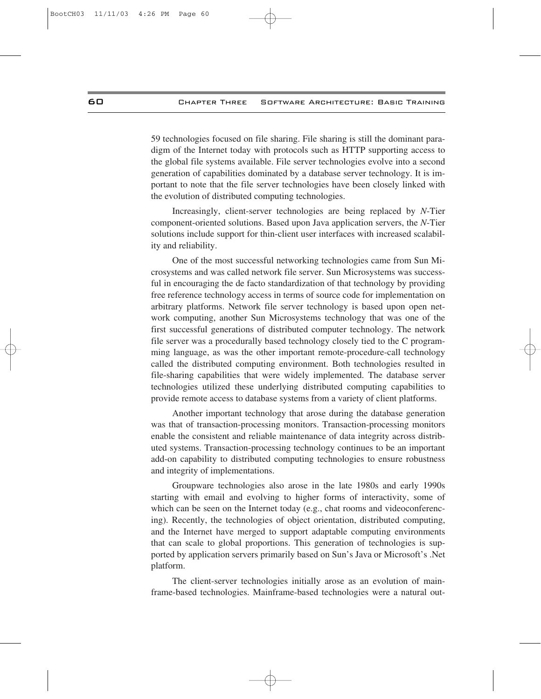59 technologies focused on file sharing. File sharing is still the dominant paradigm of the Internet today with protocols such as HTTP supporting access to the global file systems available. File server technologies evolve into a second generation of capabilities dominated by a database server technology. It is important to note that the file server technologies have been closely linked with the evolution of distributed computing technologies.

Increasingly, client-server technologies are being replaced by *N*-Tier component-oriented solutions. Based upon Java application servers, the *N*-Tier solutions include support for thin-client user interfaces with increased scalability and reliability.

One of the most successful networking technologies came from Sun Microsystems and was called network file server. Sun Microsystems was successful in encouraging the de facto standardization of that technology by providing free reference technology access in terms of source code for implementation on arbitrary platforms. Network file server technology is based upon open network computing, another Sun Microsystems technology that was one of the first successful generations of distributed computer technology. The network file server was a procedurally based technology closely tied to the C programming language, as was the other important remote-procedure-call technology called the distributed computing environment. Both technologies resulted in file-sharing capabilities that were widely implemented. The database server technologies utilized these underlying distributed computing capabilities to provide remote access to database systems from a variety of client platforms.

Another important technology that arose during the database generation was that of transaction-processing monitors. Transaction-processing monitors enable the consistent and reliable maintenance of data integrity across distributed systems. Transaction-processing technology continues to be an important add-on capability to distributed computing technologies to ensure robustness and integrity of implementations.

Groupware technologies also arose in the late 1980s and early 1990s starting with email and evolving to higher forms of interactivity, some of which can be seen on the Internet today (e.g., chat rooms and videoconferencing). Recently, the technologies of object orientation, distributed computing, and the Internet have merged to support adaptable computing environments that can scale to global proportions. This generation of technologies is supported by application servers primarily based on Sun's Java or Microsoft's .Net platform.

The client-server technologies initially arose as an evolution of mainframe-based technologies. Mainframe-based technologies were a natural out-

60

BootCH03 11/11/03 4:26 PM Page 60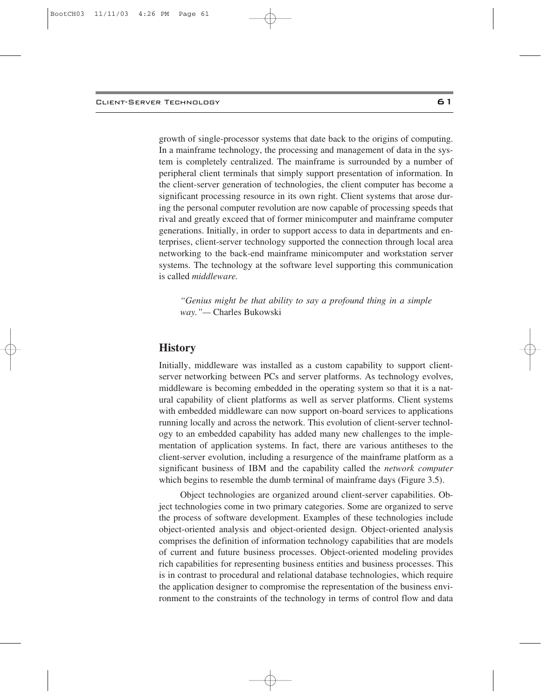#### Client-Server Technology

growth of single-processor systems that date back to the origins of computing. In a mainframe technology, the processing and management of data in the system is completely centralized. The mainframe is surrounded by a number of peripheral client terminals that simply support presentation of information. In the client-server generation of technologies, the client computer has become a significant processing resource in its own right. Client systems that arose during the personal computer revolution are now capable of processing speeds that rival and greatly exceed that of former minicomputer and mainframe computer generations. Initially, in order to support access to data in departments and enterprises, client-server technology supported the connection through local area networking to the back-end mainframe minicomputer and workstation server systems. The technology at the software level supporting this communication is called *middleware.*

*"Genius might be that ability to say a profound thing in a simple way."—* Charles Bukowski

# **History**

Initially, middleware was installed as a custom capability to support clientserver networking between PCs and server platforms. As technology evolves, middleware is becoming embedded in the operating system so that it is a natural capability of client platforms as well as server platforms. Client systems with embedded middleware can now support on-board services to applications running locally and across the network. This evolution of client-server technology to an embedded capability has added many new challenges to the implementation of application systems. In fact, there are various antitheses to the client-server evolution, including a resurgence of the mainframe platform as a significant business of IBM and the capability called the *network computer* which begins to resemble the dumb terminal of mainframe days (Figure 3.5).

Object technologies are organized around client-server capabilities. Object technologies come in two primary categories. Some are organized to serve the process of software development. Examples of these technologies include object-oriented analysis and object-oriented design. Object-oriented analysis comprises the definition of information technology capabilities that are models of current and future business processes. Object-oriented modeling provides rich capabilities for representing business entities and business processes. This is in contrast to procedural and relational database technologies, which require the application designer to compromise the representation of the business environment to the constraints of the technology in terms of control flow and data

 $\gamma$  61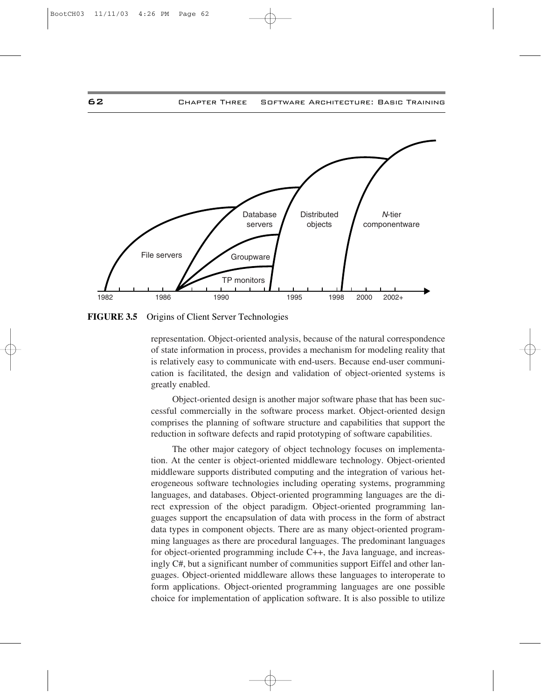

**FIGURE 3.5** Origins of Client Server Technologies

representation. Object-oriented analysis, because of the natural correspondence of state information in process, provides a mechanism for modeling reality that is relatively easy to communicate with end-users. Because end-user communication is facilitated, the design and validation of object-oriented systems is greatly enabled.

Object-oriented design is another major software phase that has been successful commercially in the software process market. Object-oriented design comprises the planning of software structure and capabilities that support the reduction in software defects and rapid prototyping of software capabilities.

The other major category of object technology focuses on implementation. At the center is object-oriented middleware technology. Object-oriented middleware supports distributed computing and the integration of various heterogeneous software technologies including operating systems, programming languages, and databases. Object-oriented programming languages are the direct expression of the object paradigm. Object-oriented programming languages support the encapsulation of data with process in the form of abstract data types in component objects. There are as many object-oriented programming languages as there are procedural languages. The predominant languages for object-oriented programming include C++, the Java language, and increasingly C#, but a significant number of communities support Eiffel and other languages. Object-oriented middleware allows these languages to interoperate to form applications. Object-oriented programming languages are one possible choice for implementation of application software. It is also possible to utilize

62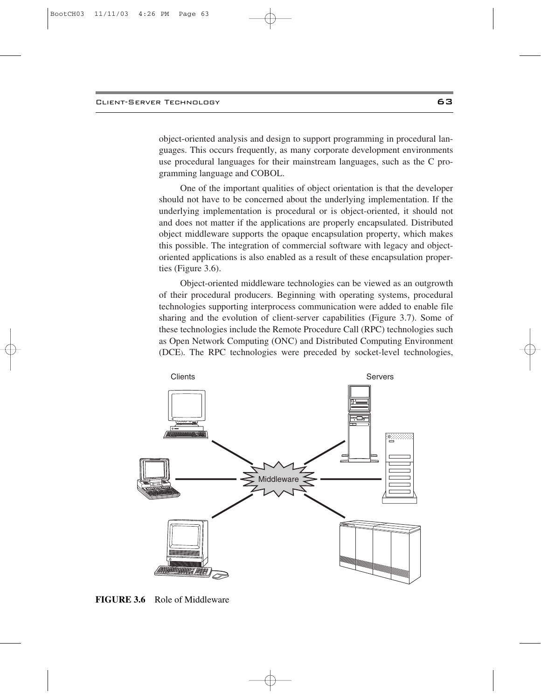BootCH03 11/11/03 4:26 PM Page 63

object-oriented analysis and design to support programming in procedural languages. This occurs frequently, as many corporate development environments use procedural languages for their mainstream languages, such as the C programming language and COBOL.

One of the important qualities of object orientation is that the developer should not have to be concerned about the underlying implementation. If the underlying implementation is procedural or is object-oriented, it should not and does not matter if the applications are properly encapsulated. Distributed object middleware supports the opaque encapsulation property, which makes this possible. The integration of commercial software with legacy and objectoriented applications is also enabled as a result of these encapsulation properties (Figure 3.6).

Object-oriented middleware technologies can be viewed as an outgrowth of their procedural producers. Beginning with operating systems, procedural technologies supporting interprocess communication were added to enable file sharing and the evolution of client-server capabilities (Figure 3.7). Some of these technologies include the Remote Procedure Call (RPC) technologies such as Open Network Computing (ONC) and Distributed Computing Environment (DCE). The RPC technologies were preceded by socket-level technologies,



**FIGURE 3.6** Role of Middleware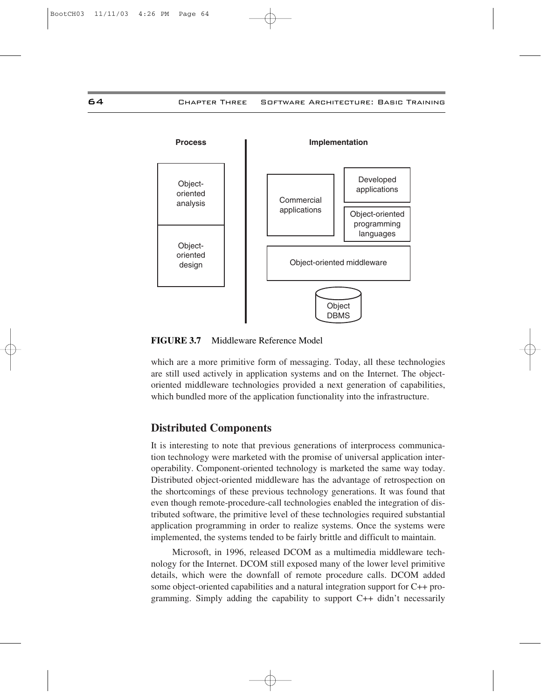

**FIGURE 3.7** Middleware Reference Model

which are a more primitive form of messaging. Today, all these technologies are still used actively in application systems and on the Internet. The objectoriented middleware technologies provided a next generation of capabilities, which bundled more of the application functionality into the infrastructure.

# **Distributed Components**

It is interesting to note that previous generations of interprocess communication technology were marketed with the promise of universal application interoperability. Component-oriented technology is marketed the same way today. Distributed object-oriented middleware has the advantage of retrospection on the shortcomings of these previous technology generations. It was found that even though remote-procedure-call technologies enabled the integration of distributed software, the primitive level of these technologies required substantial application programming in order to realize systems. Once the systems were implemented, the systems tended to be fairly brittle and difficult to maintain.

Microsoft, in 1996, released DCOM as a multimedia middleware technology for the Internet. DCOM still exposed many of the lower level primitive details, which were the downfall of remote procedure calls. DCOM added some object-oriented capabilities and a natural integration support for C++ programming. Simply adding the capability to support C++ didn't necessarily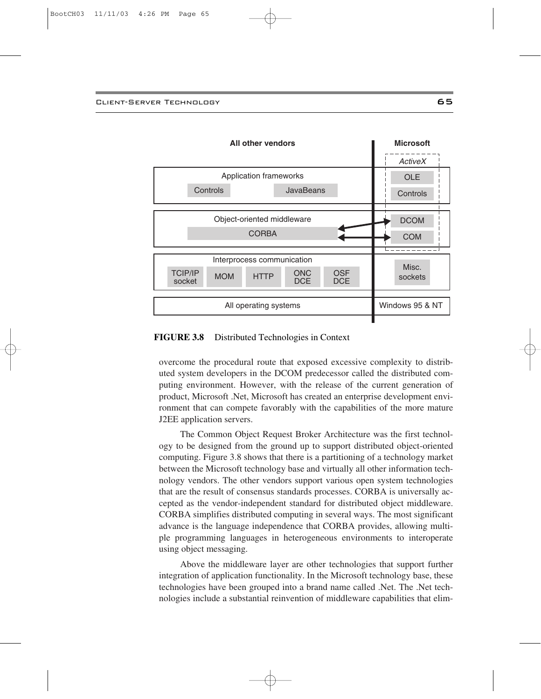

# **FIGURE 3.8** Distributed Technologies in Context

overcome the procedural route that exposed excessive complexity to distributed system developers in the DCOM predecessor called the distributed computing environment. However, with the release of the current generation of product, Microsoft .Net, Microsoft has created an enterprise development environment that can compete favorably with the capabilities of the more mature J2EE application servers.

The Common Object Request Broker Architecture was the first technology to be designed from the ground up to support distributed object-oriented computing. Figure 3.8 shows that there is a partitioning of a technology market between the Microsoft technology base and virtually all other information technology vendors. The other vendors support various open system technologies that are the result of consensus standards processes. CORBA is universally accepted as the vendor-independent standard for distributed object middleware. CORBA simplifies distributed computing in several ways. The most significant advance is the language independence that CORBA provides, allowing multiple programming languages in heterogeneous environments to interoperate using object messaging.

Above the middleware layer are other technologies that support further integration of application functionality. In the Microsoft technology base, these technologies have been grouped into a brand name called .Net. The .Net technologies include a substantial reinvention of middleware capabilities that elim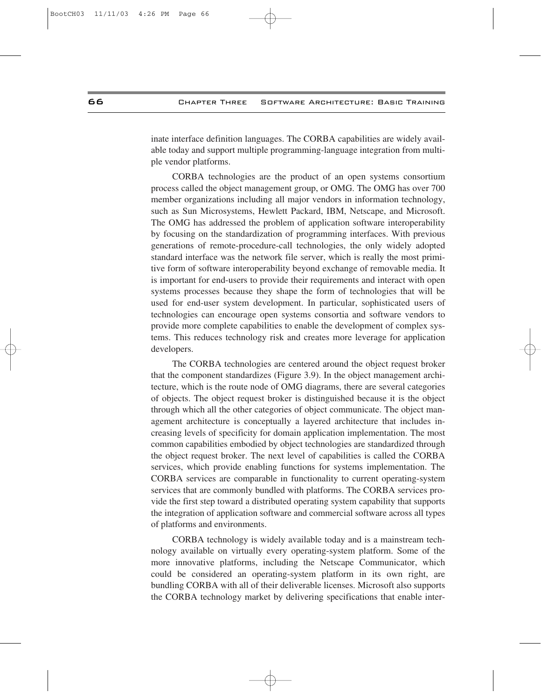inate interface definition languages. The CORBA capabilities are widely available today and support multiple programming-language integration from multi-

CORBA technologies are the product of an open systems consortium process called the object management group, or OMG. The OMG has over 700 member organizations including all major vendors in information technology, such as Sun Microsystems, Hewlett Packard, IBM, Netscape, and Microsoft. The OMG has addressed the problem of application software interoperability by focusing on the standardization of programming interfaces. With previous generations of remote-procedure-call technologies, the only widely adopted standard interface was the network file server, which is really the most primitive form of software interoperability beyond exchange of removable media. It is important for end-users to provide their requirements and interact with open systems processes because they shape the form of technologies that will be used for end-user system development. In particular, sophisticated users of technologies can encourage open systems consortia and software vendors to provide more complete capabilities to enable the development of complex systems. This reduces technology risk and creates more leverage for application developers.

The CORBA technologies are centered around the object request broker that the component standardizes (Figure 3.9). In the object management architecture, which is the route node of OMG diagrams, there are several categories of objects. The object request broker is distinguished because it is the object through which all the other categories of object communicate. The object management architecture is conceptually a layered architecture that includes increasing levels of specificity for domain application implementation. The most common capabilities embodied by object technologies are standardized through the object request broker. The next level of capabilities is called the CORBA services, which provide enabling functions for systems implementation. The CORBA services are comparable in functionality to current operating-system services that are commonly bundled with platforms. The CORBA services provide the first step toward a distributed operating system capability that supports the integration of application software and commercial software across all types of platforms and environments.

CORBA technology is widely available today and is a mainstream technology available on virtually every operating-system platform. Some of the more innovative platforms, including the Netscape Communicator, which could be considered an operating-system platform in its own right, are bundling CORBA with all of their deliverable licenses. Microsoft also supports the CORBA technology market by delivering specifications that enable inter-

66

BootCH03 11/11/03 4:26 PM Page 66

ple vendor platforms.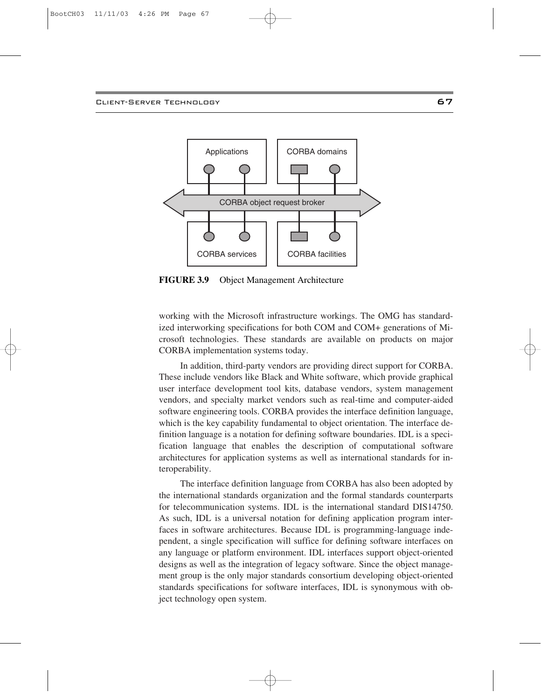

**FIGURE 3.9** Object Management Architecture

working with the Microsoft infrastructure workings. The OMG has standardized interworking specifications for both COM and COM+ generations of Microsoft technologies. These standards are available on products on major CORBA implementation systems today.

In addition, third-party vendors are providing direct support for CORBA. These include vendors like Black and White software, which provide graphical user interface development tool kits, database vendors, system management vendors, and specialty market vendors such as real-time and computer-aided software engineering tools. CORBA provides the interface definition language, which is the key capability fundamental to object orientation. The interface definition language is a notation for defining software boundaries. IDL is a specification language that enables the description of computational software architectures for application systems as well as international standards for interoperability.

The interface definition language from CORBA has also been adopted by the international standards organization and the formal standards counterparts for telecommunication systems. IDL is the international standard DIS14750. As such, IDL is a universal notation for defining application program interfaces in software architectures. Because IDL is programming-language independent, a single specification will suffice for defining software interfaces on any language or platform environment. IDL interfaces support object-oriented designs as well as the integration of legacy software. Since the object management group is the only major standards consortium developing object-oriented standards specifications for software interfaces, IDL is synonymous with object technology open system.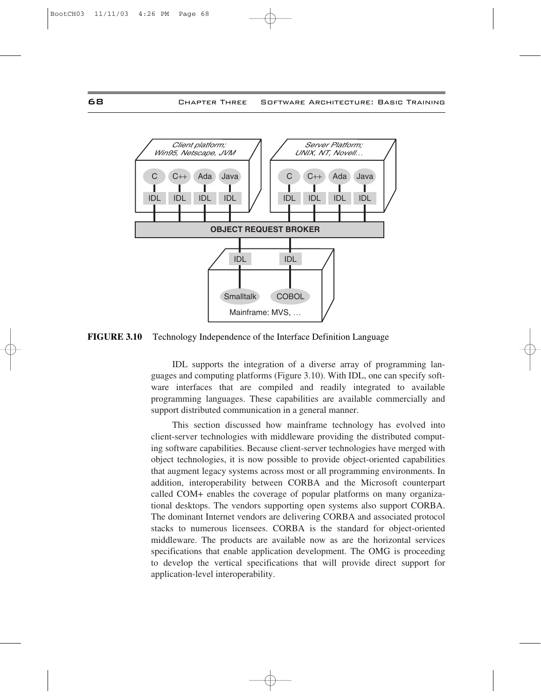

**FIGURE 3.10** Technology Independence of the Interface Definition Language

IDL supports the integration of a diverse array of programming languages and computing platforms (Figure 3.10). With IDL, one can specify software interfaces that are compiled and readily integrated to available programming languages. These capabilities are available commercially and support distributed communication in a general manner.

This section discussed how mainframe technology has evolved into client-server technologies with middleware providing the distributed computing software capabilities. Because client-server technologies have merged with object technologies, it is now possible to provide object-oriented capabilities that augment legacy systems across most or all programming environments. In addition, interoperability between CORBA and the Microsoft counterpart called COM+ enables the coverage of popular platforms on many organizational desktops. The vendors supporting open systems also support CORBA. The dominant Internet vendors are delivering CORBA and associated protocol stacks to numerous licensees. CORBA is the standard for object-oriented middleware. The products are available now as are the horizontal services specifications that enable application development. The OMG is proceeding to develop the vertical specifications that will provide direct support for application-level interoperability.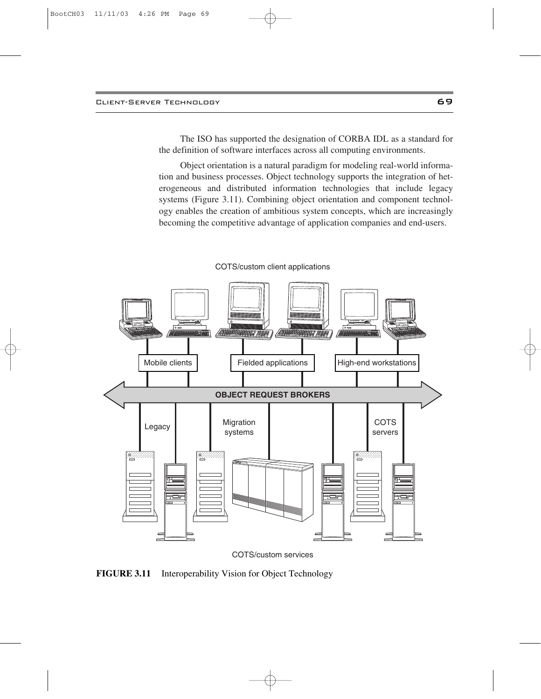The ISO has supported the designation of CORBA IDL as a standard for the definition of software interfaces across all computing environments.

Object orientation is a natural paradigm for modeling real-world information and business processes. Object technology supports the integration of heterogeneous and distributed information technologies that include legacy systems (Figure 3.11). Combining object orientation and component technology enables the creation of ambitious system concepts, which are increasingly becoming the competitive advantage of application companies and end-users.



COTS/custom client applications

COTS/custom services

**FIGURE 3.11** Interoperability Vision for Object Technology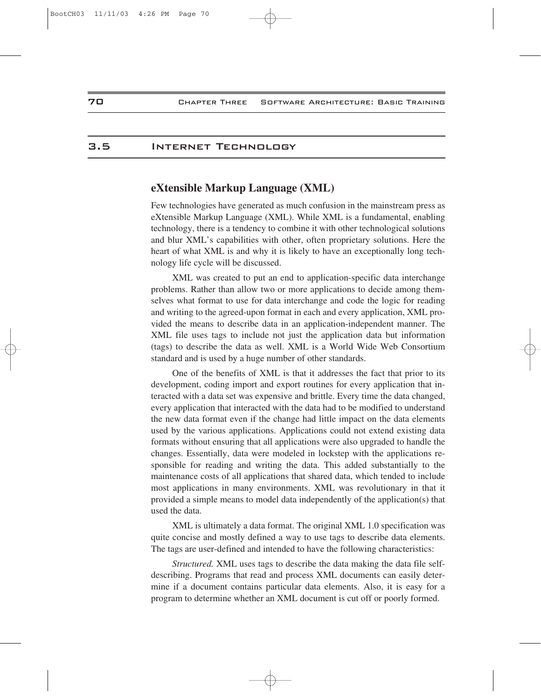# 3.5 Internet Technology

# **eXtensible Markup Language (XML)**

Few technologies have generated as much confusion in the mainstream press as eXtensible Markup Language (XML). While XML is a fundamental, enabling technology, there is a tendency to combine it with other technological solutions and blur XML's capabilities with other, often proprietary solutions. Here the heart of what XML is and why it is likely to have an exceptionally long technology life cycle will be discussed.

XML was created to put an end to application-specific data interchange problems. Rather than allow two or more applications to decide among themselves what format to use for data interchange and code the logic for reading and writing to the agreed-upon format in each and every application, XML provided the means to describe data in an application-independent manner. The XML file uses tags to include not just the application data but information (tags) to describe the data as well. XML is a World Wide Web Consortium standard and is used by a huge number of other standards.

One of the benefits of XML is that it addresses the fact that prior to its development, coding import and export routines for every application that interacted with a data set was expensive and brittle. Every time the data changed, every application that interacted with the data had to be modified to understand the new data format even if the change had little impact on the data elements used by the various applications. Applications could not extend existing data formats without ensuring that all applications were also upgraded to handle the changes. Essentially, data were modeled in lockstep with the applications responsible for reading and writing the data. This added substantially to the maintenance costs of all applications that shared data, which tended to include most applications in many environments. XML was revolutionary in that it provided a simple means to model data independently of the application(s) that used the data.

XML is ultimately a data format. The original XML 1.0 specification was quite concise and mostly defined a way to use tags to describe data elements. The tags are user-defined and intended to have the following characteristics:

*Structured.* XML uses tags to describe the data making the data file selfdescribing. Programs that read and process XML documents can easily determine if a document contains particular data elements. Also, it is easy for a program to determine whether an XML document is cut off or poorly formed.

70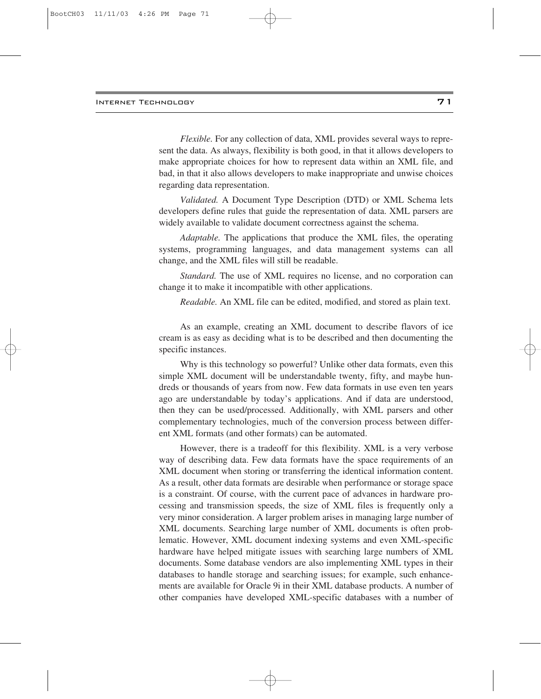## BootCH03 11/11/03 4:26 PM Page 71

#### Internet Technology

*Flexible.* For any collection of data, XML provides several ways to represent the data. As always, flexibility is both good, in that it allows developers to make appropriate choices for how to represent data within an XML file, and bad, in that it also allows developers to make inappropriate and unwise choices regarding data representation.

*Validated.* A Document Type Description (DTD) or XML Schema lets developers define rules that guide the representation of data. XML parsers are widely available to validate document correctness against the schema.

*Adaptable.* The applications that produce the XML files, the operating systems, programming languages, and data management systems can all change, and the XML files will still be readable.

*Standard.* The use of XML requires no license, and no corporation can change it to make it incompatible with other applications.

*Readable.* An XML file can be edited, modified, and stored as plain text.

As an example, creating an XML document to describe flavors of ice cream is as easy as deciding what is to be described and then documenting the specific instances.

Why is this technology so powerful? Unlike other data formats, even this simple XML document will be understandable twenty, fifty, and maybe hundreds or thousands of years from now. Few data formats in use even ten years ago are understandable by today's applications. And if data are understood, then they can be used/processed. Additionally, with XML parsers and other complementary technologies, much of the conversion process between different XML formats (and other formats) can be automated.

However, there is a tradeoff for this flexibility. XML is a very verbose way of describing data. Few data formats have the space requirements of an XML document when storing or transferring the identical information content. As a result, other data formats are desirable when performance or storage space is a constraint. Of course, with the current pace of advances in hardware processing and transmission speeds, the size of XML files is frequently only a very minor consideration. A larger problem arises in managing large number of XML documents. Searching large number of XML documents is often problematic. However, XML document indexing systems and even XML-specific hardware have helped mitigate issues with searching large numbers of XML documents. Some database vendors are also implementing XML types in their databases to handle storage and searching issues; for example, such enhancements are available for Oracle 9i in their XML database products. A number of other companies have developed XML-specific databases with a number of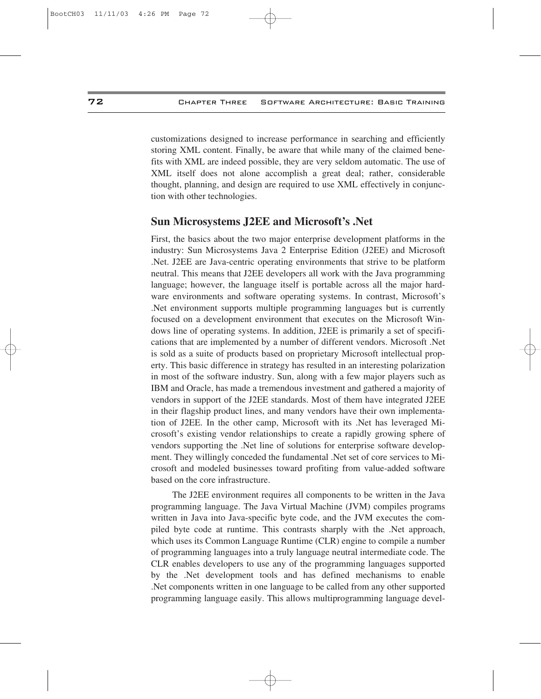customizations designed to increase performance in searching and efficiently storing XML content. Finally, be aware that while many of the claimed benefits with XML are indeed possible, they are very seldom automatic. The use of XML itself does not alone accomplish a great deal; rather, considerable thought, planning, and design are required to use XML effectively in conjunction with other technologies.

# **Sun Microsystems J2EE and Microsoft's .Net**

First, the basics about the two major enterprise development platforms in the industry: Sun Microsystems Java 2 Enterprise Edition (J2EE) and Microsoft .Net. J2EE are Java-centric operating environments that strive to be platform neutral. This means that J2EE developers all work with the Java programming language; however, the language itself is portable across all the major hardware environments and software operating systems. In contrast, Microsoft's .Net environment supports multiple programming languages but is currently focused on a development environment that executes on the Microsoft Windows line of operating systems. In addition, J2EE is primarily a set of specifications that are implemented by a number of different vendors. Microsoft .Net is sold as a suite of products based on proprietary Microsoft intellectual property. This basic difference in strategy has resulted in an interesting polarization in most of the software industry. Sun, along with a few major players such as IBM and Oracle, has made a tremendous investment and gathered a majority of vendors in support of the J2EE standards. Most of them have integrated J2EE in their flagship product lines, and many vendors have their own implementation of J2EE. In the other camp, Microsoft with its .Net has leveraged Microsoft's existing vendor relationships to create a rapidly growing sphere of vendors supporting the .Net line of solutions for enterprise software development. They willingly conceded the fundamental .Net set of core services to Microsoft and modeled businesses toward profiting from value-added software based on the core infrastructure.

The J2EE environment requires all components to be written in the Java programming language. The Java Virtual Machine (JVM) compiles programs written in Java into Java-specific byte code, and the JVM executes the compiled byte code at runtime. This contrasts sharply with the .Net approach, which uses its Common Language Runtime (CLR) engine to compile a number of programming languages into a truly language neutral intermediate code. The CLR enables developers to use any of the programming languages supported by the .Net development tools and has defined mechanisms to enable .Net components written in one language to be called from any other supported programming language easily. This allows multiprogramming language devel-

BootCH03 11/11/03 4:26 PM Page 72

### 72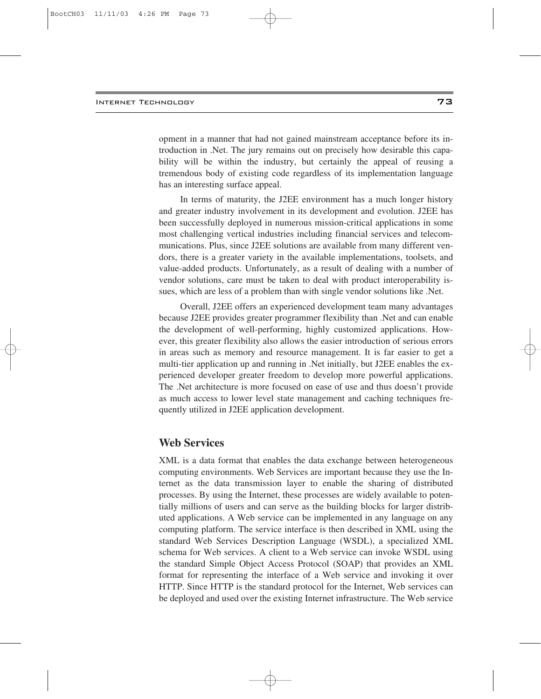opment in a manner that had not gained mainstream acceptance before its introduction in .Net. The jury remains out on precisely how desirable this capability will be within the industry, but certainly the appeal of reusing a tremendous body of existing code regardless of its implementation language has an interesting surface appeal.

In terms of maturity, the J2EE environment has a much longer history and greater industry involvement in its development and evolution. J2EE has been successfully deployed in numerous mission-critical applications in some most challenging vertical industries including financial services and telecommunications. Plus, since J2EE solutions are available from many different vendors, there is a greater variety in the available implementations, toolsets, and value-added products. Unfortunately, as a result of dealing with a number of vendor solutions, care must be taken to deal with product interoperability issues, which are less of a problem than with single vendor solutions like .Net.

Overall, J2EE offers an experienced development team many advantages because J2EE provides greater programmer flexibility than .Net and can enable the development of well-performing, highly customized applications. However, this greater flexibility also allows the easier introduction of serious errors in areas such as memory and resource management. It is far easier to get a multi-tier application up and running in .Net initially, but J2EE enables the experienced developer greater freedom to develop more powerful applications. The .Net architecture is more focused on ease of use and thus doesn't provide as much access to lower level state management and caching techniques frequently utilized in J2EE application development.

# **Web Services**

XML is a data format that enables the data exchange between heterogeneous computing environments. Web Services are important because they use the Internet as the data transmission layer to enable the sharing of distributed processes. By using the Internet, these processes are widely available to potentially millions of users and can serve as the building blocks for larger distributed applications. A Web service can be implemented in any language on any computing platform. The service interface is then described in XML using the standard Web Services Description Language (WSDL), a specialized XML schema for Web services. A client to a Web service can invoke WSDL using the standard Simple Object Access Protocol (SOAP) that provides an XML format for representing the interface of a Web service and invoking it over HTTP. Since HTTP is the standard protocol for the Internet, Web services can be deployed and used over the existing Internet infrastructure. The Web service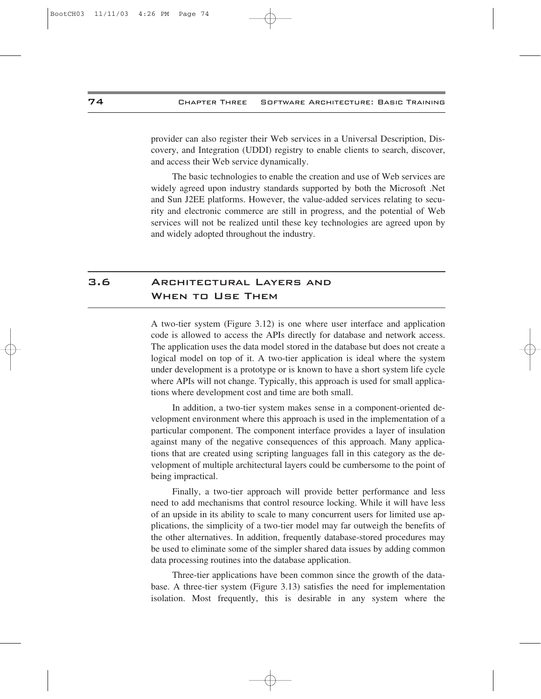provider can also register their Web services in a Universal Description, Discovery, and Integration (UDDI) registry to enable clients to search, discover, and access their Web service dynamically.

The basic technologies to enable the creation and use of Web services are widely agreed upon industry standards supported by both the Microsoft .Net and Sun J2EE platforms. However, the value-added services relating to security and electronic commerce are still in progress, and the potential of Web services will not be realized until these key technologies are agreed upon by and widely adopted throughout the industry.

# 3.6 Architectural Layers andWhen to Use Them

A two-tier system (Figure 3.12) is one where user interface and application code is allowed to access the APIs directly for database and network access. The application uses the data model stored in the database but does not create a logical model on top of it. A two-tier application is ideal where the system under development is a prototype or is known to have a short system life cycle where APIs will not change. Typically, this approach is used for small applications where development cost and time are both small.

In addition, a two-tier system makes sense in a component-oriented development environment where this approach is used in the implementation of a particular component. The component interface provides a layer of insulation against many of the negative consequences of this approach. Many applications that are created using scripting languages fall in this category as the development of multiple architectural layers could be cumbersome to the point of being impractical.

Finally, a two-tier approach will provide better performance and less need to add mechanisms that control resource locking. While it will have less of an upside in its ability to scale to many concurrent users for limited use applications, the simplicity of a two-tier model may far outweigh the benefits of the other alternatives. In addition, frequently database-stored procedures may be used to eliminate some of the simpler shared data issues by adding common data processing routines into the database application.

Three-tier applications have been common since the growth of the database. A three-tier system (Figure 3.13) satisfies the need for implementation isolation. Most frequently, this is desirable in any system where the

BootCH03 11/11/03 4:26 PM Page 74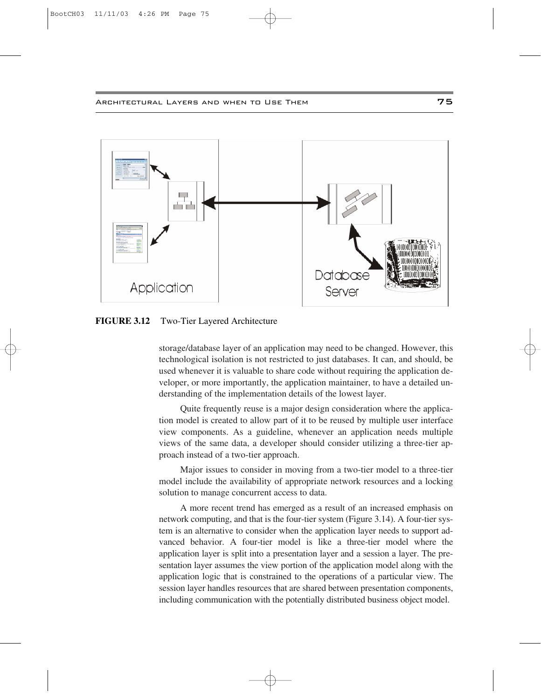# Architectural Layers and when to Use Them



# **FIGURE 3.12** Two-Tier Layered Architecture

storage/database layer of an application may need to be changed. However, this technological isolation is not restricted to just databases. It can, and should, be used whenever it is valuable to share code without requiring the application developer, or more importantly, the application maintainer, to have a detailed understanding of the implementation details of the lowest layer.

Quite frequently reuse is a major design consideration where the application model is created to allow part of it to be reused by multiple user interface view components. As a guideline, whenever an application needs multiple views of the same data, a developer should consider utilizing a three-tier approach instead of a two-tier approach.

Major issues to consider in moving from a two-tier model to a three-tier model include the availability of appropriate network resources and a locking solution to manage concurrent access to data.

A more recent trend has emerged as a result of an increased emphasis on network computing, and that is the four-tier system (Figure 3.14). A four-tier system is an alternative to consider when the application layer needs to support advanced behavior. A four-tier model is like a three-tier model where the application layer is split into a presentation layer and a session a layer. The presentation layer assumes the view portion of the application model along with the application logic that is constrained to the operations of a particular view. The session layer handles resources that are shared between presentation components, including communication with the potentially distributed business object model.

 $M$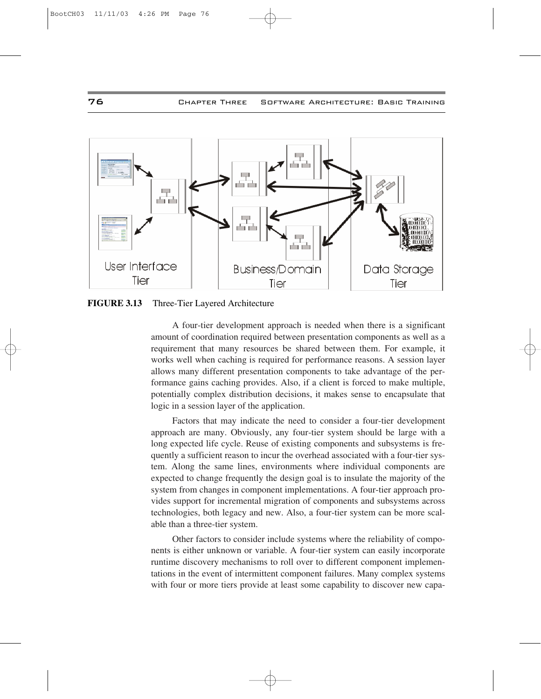

# **FIGURE 3.13** Three-Tier Layered Architecture

A four-tier development approach is needed when there is a significant amount of coordination required between presentation components as well as a requirement that many resources be shared between them. For example, it works well when caching is required for performance reasons. A session layer allows many different presentation components to take advantage of the performance gains caching provides. Also, if a client is forced to make multiple, potentially complex distribution decisions, it makes sense to encapsulate that logic in a session layer of the application.

Factors that may indicate the need to consider a four-tier development approach are many. Obviously, any four-tier system should be large with a long expected life cycle. Reuse of existing components and subsystems is frequently a sufficient reason to incur the overhead associated with a four-tier system. Along the same lines, environments where individual components are expected to change frequently the design goal is to insulate the majority of the system from changes in component implementations. A four-tier approach provides support for incremental migration of components and subsystems across technologies, both legacy and new. Also, a four-tier system can be more scalable than a three-tier system.

Other factors to consider include systems where the reliability of components is either unknown or variable. A four-tier system can easily incorporate runtime discovery mechanisms to roll over to different component implementations in the event of intermittent component failures. Many complex systems with four or more tiers provide at least some capability to discover new capa-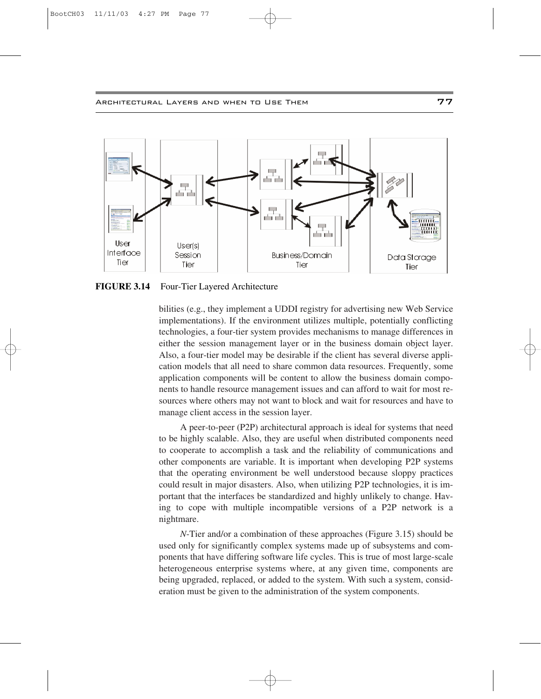#### Architectural Layers and when to Use Them



**FIGURE 3.14** Four-Tier Layered Architecture

bilities (e.g., they implement a UDDI registry for advertising new Web Service implementations). If the environment utilizes multiple, potentially conflicting technologies, a four-tier system provides mechanisms to manage differences in either the session management layer or in the business domain object layer. Also, a four-tier model may be desirable if the client has several diverse application models that all need to share common data resources. Frequently, some application components will be content to allow the business domain components to handle resource management issues and can afford to wait for most resources where others may not want to block and wait for resources and have to manage client access in the session layer.

A peer-to-peer (P2P) architectural approach is ideal for systems that need to be highly scalable. Also, they are useful when distributed components need to cooperate to accomplish a task and the reliability of communications and other components are variable. It is important when developing P2P systems that the operating environment be well understood because sloppy practices could result in major disasters. Also, when utilizing P2P technologies, it is important that the interfaces be standardized and highly unlikely to change. Having to cope with multiple incompatible versions of a P2P network is a nightmare.

*N*-Tier and/or a combination of these approaches (Figure 3.15) should be used only for significantly complex systems made up of subsystems and components that have differing software life cycles. This is true of most large-scale heterogeneous enterprise systems where, at any given time, components are being upgraded, replaced, or added to the system. With such a system, consideration must be given to the administration of the system components.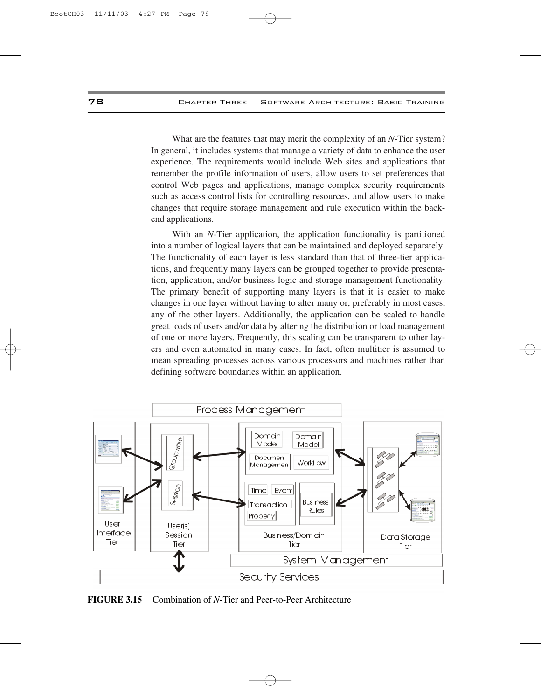What are the features that may merit the complexity of an *N*-Tier system? In general, it includes systems that manage a variety of data to enhance the user experience. The requirements would include Web sites and applications that remember the profile information of users, allow users to set preferences that control Web pages and applications, manage complex security requirements such as access control lists for controlling resources, and allow users to make changes that require storage management and rule execution within the backend applications.

With an *N*-Tier application, the application functionality is partitioned into a number of logical layers that can be maintained and deployed separately. The functionality of each layer is less standard than that of three-tier applications, and frequently many layers can be grouped together to provide presentation, application, and/or business logic and storage management functionality. The primary benefit of supporting many layers is that it is easier to make changes in one layer without having to alter many or, preferably in most cases, any of the other layers. Additionally, the application can be scaled to handle great loads of users and/or data by altering the distribution or load management of one or more layers. Frequently, this scaling can be transparent to other layers and even automated in many cases. In fact, often multitier is assumed to mean spreading processes across various processors and machines rather than defining software boundaries within an application.



**FIGURE 3.15** Combination of *N*-Tier and Peer-to-Peer Architecture

78

BootCH03 11/11/03 4:27 PM Page 78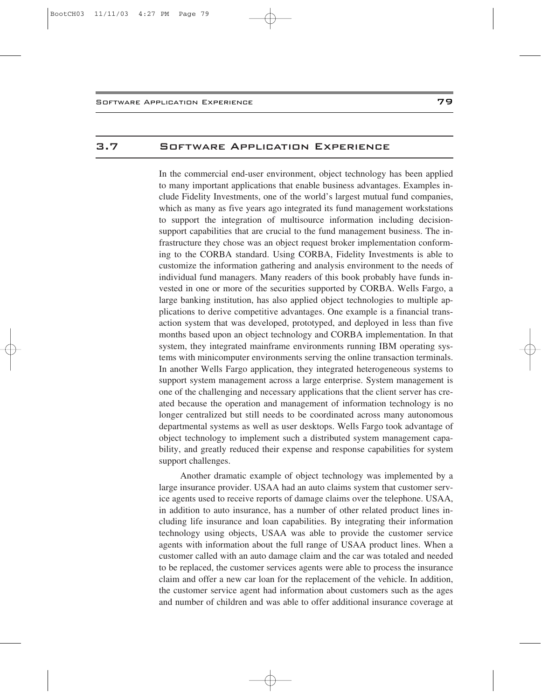# 3.7 Software Application Experience

In the commercial end-user environment, object technology has been applied to many important applications that enable business advantages. Examples include Fidelity Investments, one of the world's largest mutual fund companies, which as many as five years ago integrated its fund management workstations to support the integration of multisource information including decisionsupport capabilities that are crucial to the fund management business. The infrastructure they chose was an object request broker implementation conforming to the CORBA standard. Using CORBA, Fidelity Investments is able to customize the information gathering and analysis environment to the needs of individual fund managers. Many readers of this book probably have funds invested in one or more of the securities supported by CORBA. Wells Fargo, a large banking institution, has also applied object technologies to multiple applications to derive competitive advantages. One example is a financial transaction system that was developed, prototyped, and deployed in less than five months based upon an object technology and CORBA implementation. In that system, they integrated mainframe environments running IBM operating systems with minicomputer environments serving the online transaction terminals. In another Wells Fargo application, they integrated heterogeneous systems to support system management across a large enterprise. System management is one of the challenging and necessary applications that the client server has created because the operation and management of information technology is no longer centralized but still needs to be coordinated across many autonomous departmental systems as well as user desktops. Wells Fargo took advantage of object technology to implement such a distributed system management capability, and greatly reduced their expense and response capabilities for system support challenges.

Another dramatic example of object technology was implemented by a large insurance provider. USAA had an auto claims system that customer service agents used to receive reports of damage claims over the telephone. USAA, in addition to auto insurance, has a number of other related product lines including life insurance and loan capabilities. By integrating their information technology using objects, USAA was able to provide the customer service agents with information about the full range of USAA product lines. When a customer called with an auto damage claim and the car was totaled and needed to be replaced, the customer services agents were able to process the insurance claim and offer a new car loan for the replacement of the vehicle. In addition, the customer service agent had information about customers such as the ages and number of children and was able to offer additional insurance coverage at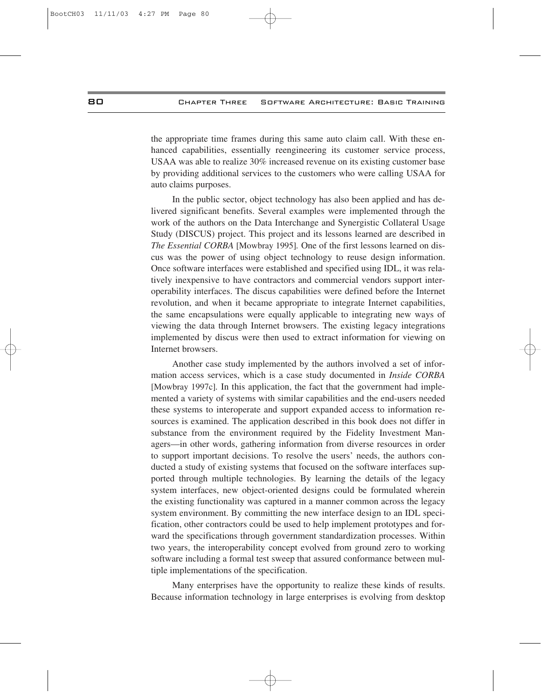the appropriate time frames during this same auto claim call. With these enhanced capabilities, essentially reengineering its customer service process, USAA was able to realize 30% increased revenue on its existing customer base by providing additional services to the customers who were calling USAA for auto claims purposes.

In the public sector, object technology has also been applied and has delivered significant benefits. Several examples were implemented through the work of the authors on the Data Interchange and Synergistic Collateral Usage Study (DISCUS) project. This project and its lessons learned are described in *The Essential CORBA* [Mowbray 1995]*.* One of the first lessons learned on discus was the power of using object technology to reuse design information. Once software interfaces were established and specified using IDL, it was relatively inexpensive to have contractors and commercial vendors support interoperability interfaces. The discus capabilities were defined before the Internet revolution, and when it became appropriate to integrate Internet capabilities, the same encapsulations were equally applicable to integrating new ways of viewing the data through Internet browsers. The existing legacy integrations implemented by discus were then used to extract information for viewing on Internet browsers.

Another case study implemented by the authors involved a set of information access services, which is a case study documented in *Inside CORBA* [Mowbray 1997c]*.* In this application, the fact that the government had implemented a variety of systems with similar capabilities and the end-users needed these systems to interoperate and support expanded access to information resources is examined. The application described in this book does not differ in substance from the environment required by the Fidelity Investment Managers—in other words, gathering information from diverse resources in order to support important decisions. To resolve the users' needs, the authors conducted a study of existing systems that focused on the software interfaces supported through multiple technologies. By learning the details of the legacy system interfaces, new object-oriented designs could be formulated wherein the existing functionality was captured in a manner common across the legacy system environment. By committing the new interface design to an IDL specification, other contractors could be used to help implement prototypes and forward the specifications through government standardization processes. Within two years, the interoperability concept evolved from ground zero to working software including a formal test sweep that assured conformance between multiple implementations of the specification.

Many enterprises have the opportunity to realize these kinds of results. Because information technology in large enterprises is evolving from desktop

80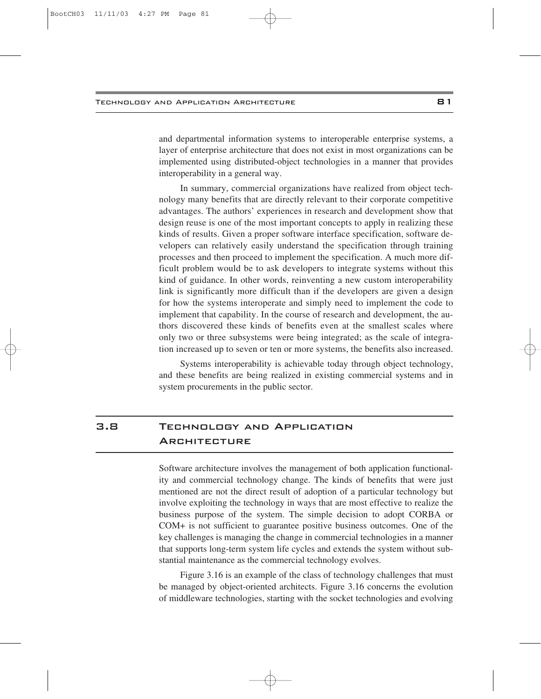#### Technology and Application Architecture

and departmental information systems to interoperable enterprise systems, a layer of enterprise architecture that does not exist in most organizations can be implemented using distributed-object technologies in a manner that provides interoperability in a general way.

In summary, commercial organizations have realized from object technology many benefits that are directly relevant to their corporate competitive advantages. The authors' experiences in research and development show that design reuse is one of the most important concepts to apply in realizing these kinds of results. Given a proper software interface specification, software developers can relatively easily understand the specification through training processes and then proceed to implement the specification. A much more difficult problem would be to ask developers to integrate systems without this kind of guidance. In other words, reinventing a new custom interoperability link is significantly more difficult than if the developers are given a design for how the systems interoperate and simply need to implement the code to implement that capability. In the course of research and development, the authors discovered these kinds of benefits even at the smallest scales where only two or three subsystems were being integrated; as the scale of integration increased up to seven or ten or more systems, the benefits also increased.

Systems interoperability is achievable today through object technology, and these benefits are being realized in existing commercial systems and in system procurements in the public sector.

# 3.8 Technology and Application **ARCHITECTURE**

Software architecture involves the management of both application functionality and commercial technology change. The kinds of benefits that were just mentioned are not the direct result of adoption of a particular technology but involve exploiting the technology in ways that are most effective to realize the business purpose of the system. The simple decision to adopt CORBA or COM+ is not sufficient to guarantee positive business outcomes. One of the key challenges is managing the change in commercial technologies in a manner that supports long-term system life cycles and extends the system without substantial maintenance as the commercial technology evolves.

Figure 3.16 is an example of the class of technology challenges that must be managed by object-oriented architects. Figure 3.16 concerns the evolution of middleware technologies, starting with the socket technologies and evolving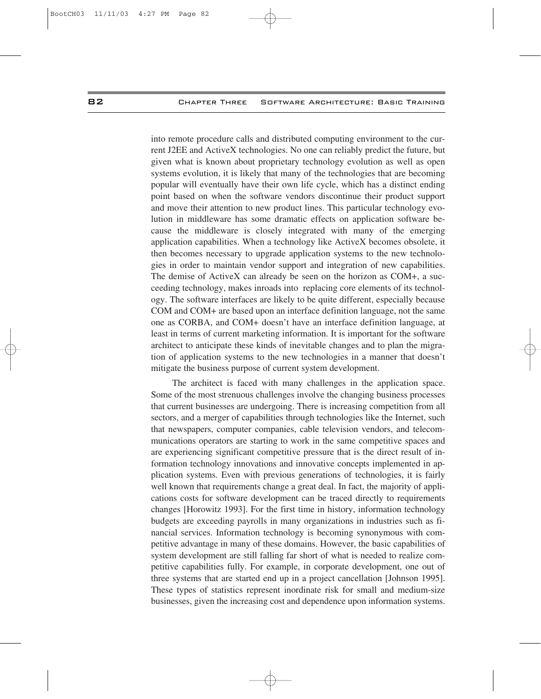into remote procedure calls and distributed computing environment to the current J2EE and ActiveX technologies. No one can reliably predict the future, but given what is known about proprietary technology evolution as well as open systems evolution, it is likely that many of the technologies that are becoming popular will eventually have their own life cycle, which has a distinct ending point based on when the software vendors discontinue their product support and move their attention to new product lines. This particular technology evolution in middleware has some dramatic effects on application software because the middleware is closely integrated with many of the emerging application capabilities. When a technology like ActiveX becomes obsolete, it then becomes necessary to upgrade application systems to the new technologies in order to maintain vendor support and integration of new capabilities. The demise of ActiveX can already be seen on the horizon as COM+, a succeeding technology, makes inroads into replacing core elements of its technology. The software interfaces are likely to be quite different, especially because COM and COM+ are based upon an interface definition language, not the same one as CORBA, and COM+ doesn't have an interface definition language, at least in terms of current marketing information. It is important for the software architect to anticipate these kinds of inevitable changes and to plan the migration of application systems to the new technologies in a manner that doesn't mitigate the business purpose of current system development.

The architect is faced with many challenges in the application space. Some of the most strenuous challenges involve the changing business processes that current businesses are undergoing. There is increasing competition from all sectors, and a merger of capabilities through technologies like the Internet, such that newspapers, computer companies, cable television vendors, and telecommunications operators are starting to work in the same competitive spaces and are experiencing significant competitive pressure that is the direct result of information technology innovations and innovative concepts implemented in application systems. Even with previous generations of technologies, it is fairly well known that requirements change a great deal. In fact, the majority of applications costs for software development can be traced directly to requirements changes [Horowitz 1993]. For the first time in history, information technology budgets are exceeding payrolls in many organizations in industries such as financial services. Information technology is becoming synonymous with competitive advantage in many of these domains. However, the basic capabilities of system development are still falling far short of what is needed to realize competitive capabilities fully. For example, in corporate development, one out of three systems that are started end up in a project cancellation [Johnson 1995]. These types of statistics represent inordinate risk for small and medium-size businesses, given the increasing cost and dependence upon information systems.

BootCH03 11/11/03 4:27 PM Page 82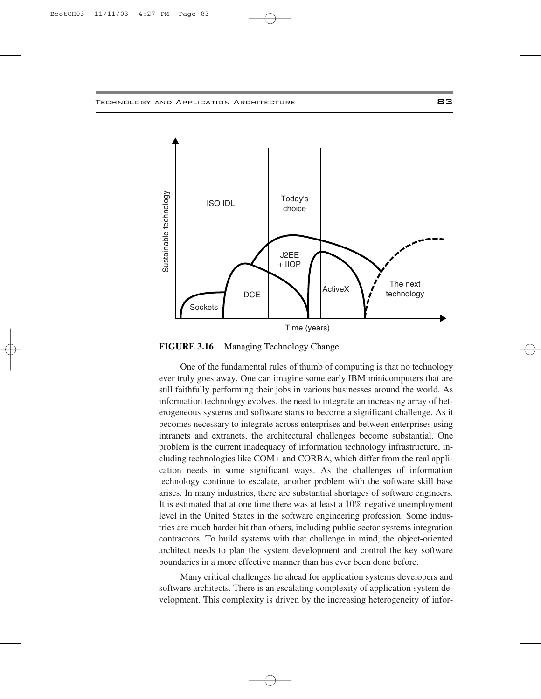

**FIGURE 3.16** Managing Technology Change

One of the fundamental rules of thumb of computing is that no technology ever truly goes away. One can imagine some early IBM minicomputers that are still faithfully performing their jobs in various businesses around the world. As information technology evolves, the need to integrate an increasing array of heterogeneous systems and software starts to become a significant challenge. As it becomes necessary to integrate across enterprises and between enterprises using intranets and extranets, the architectural challenges become substantial. One problem is the current inadequacy of information technology infrastructure, including technologies like COM+ and CORBA, which differ from the real application needs in some significant ways. As the challenges of information technology continue to escalate, another problem with the software skill base arises. In many industries, there are substantial shortages of software engineers. It is estimated that at one time there was at least a 10% negative unemployment level in the United States in the software engineering profession. Some industries are much harder hit than others, including public sector systems integration contractors. To build systems with that challenge in mind, the object-oriented architect needs to plan the system development and control the key software boundaries in a more effective manner than has ever been done before.

Many critical challenges lie ahead for application systems developers and software architects. There is an escalating complexity of application system development. This complexity is driven by the increasing heterogeneity of infor-

E 23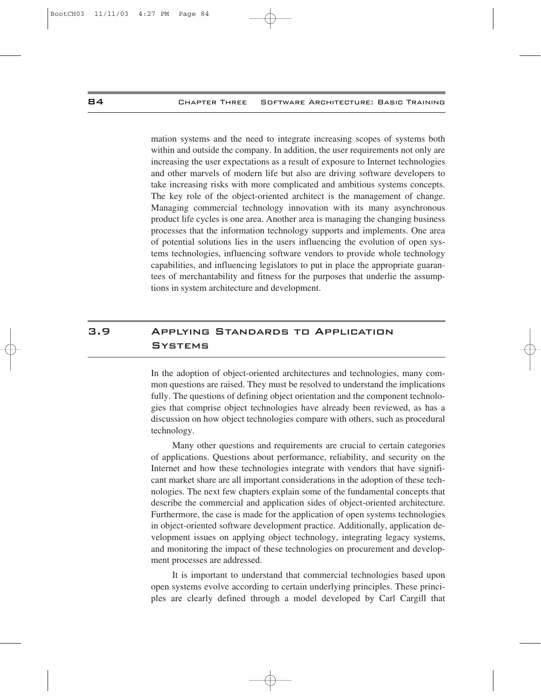#### BootCH03 11/11/03 4:27 PM Page 84

Chapter Three Software Architecture: Basic Training

mation systems and the need to integrate increasing scopes of systems both within and outside the company. In addition, the user requirements not only are increasing the user expectations as a result of exposure to Internet technologies and other marvels of modern life but also are driving software developers to take increasing risks with more complicated and ambitious systems concepts. The key role of the object-oriented architect is the management of change. Managing commercial technology innovation with its many asynchronous product life cycles is one area. Another area is managing the changing business processes that the information technology supports and implements. One area of potential solutions lies in the users influencing the evolution of open systems technologies, influencing software vendors to provide whole technology capabilities, and influencing legislators to put in place the appropriate guarantees of merchantability and fitness for the purposes that underlie the assumptions in system architecture and development.

# 3.9 Applying Standards to Application **SYSTEMS**

In the adoption of object-oriented architectures and technologies, many common questions are raised. They must be resolved to understand the implications fully. The questions of defining object orientation and the component technologies that comprise object technologies have already been reviewed, as has a discussion on how object technologies compare with others, such as procedural technology.

Many other questions and requirements are crucial to certain categories of applications. Questions about performance, reliability, and security on the Internet and how these technologies integrate with vendors that have significant market share are all important considerations in the adoption of these technologies. The next few chapters explain some of the fundamental concepts that describe the commercial and application sides of object-oriented architecture. Furthermore, the case is made for the application of open systems technologies in object-oriented software development practice. Additionally, application development issues on applying object technology, integrating legacy systems, and monitoring the impact of these technologies on procurement and development processes are addressed.

It is important to understand that commercial technologies based upon open systems evolve according to certain underlying principles. These principles are clearly defined through a model developed by Carl Cargill that

84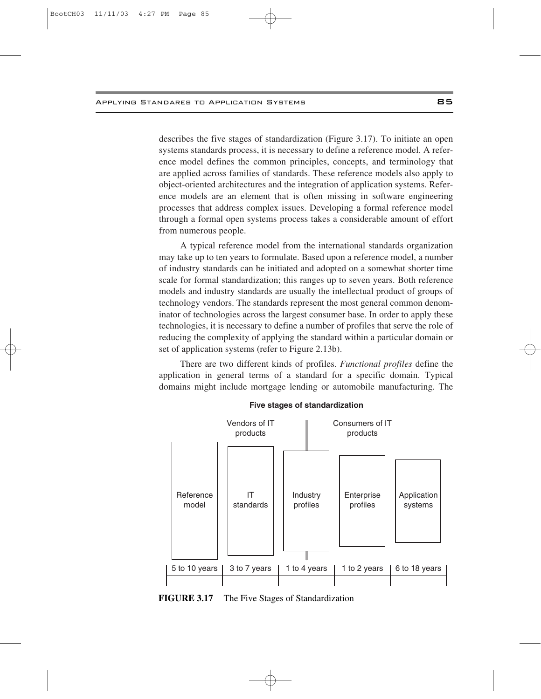## Applying Standares to Application Systems

describes the five stages of standardization (Figure 3.17). To initiate an open systems standards process, it is necessary to define a reference model. A reference model defines the common principles, concepts, and terminology that are applied across families of standards. These reference models also apply to object-oriented architectures and the integration of application systems. Reference models are an element that is often missing in software engineering processes that address complex issues. Developing a formal reference model through a formal open systems process takes a considerable amount of effort from numerous people.

A typical reference model from the international standards organization may take up to ten years to formulate. Based upon a reference model, a number of industry standards can be initiated and adopted on a somewhat shorter time scale for formal standardization; this ranges up to seven years. Both reference models and industry standards are usually the intellectual product of groups of technology vendors. The standards represent the most general common denominator of technologies across the largest consumer base. In order to apply these technologies, it is necessary to define a number of profiles that serve the role of reducing the complexity of applying the standard within a particular domain or set of application systems (refer to Figure 2.13b).

There are two different kinds of profiles. *Functional profiles* define the application in general terms of a standard for a specific domain. Typical domains might include mortgage lending or automobile manufacturing. The



**Five stages of standardization**

**FIGURE 3.17** The Five Stages of Standardization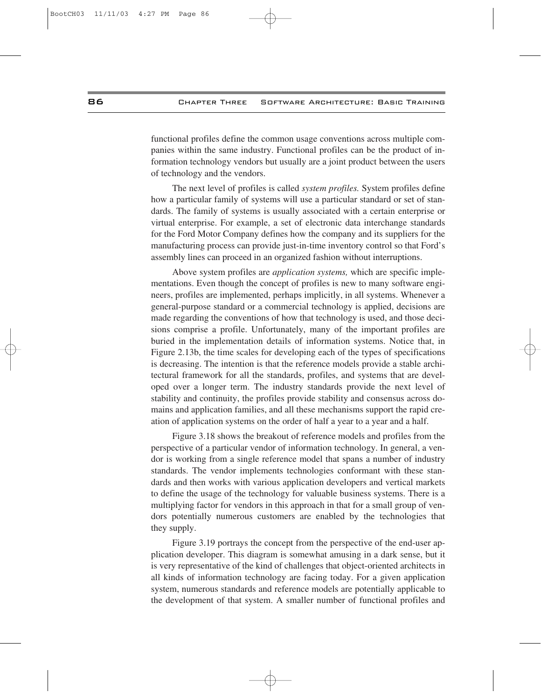functional profiles define the common usage conventions across multiple companies within the same industry. Functional profiles can be the product of information technology vendors but usually are a joint product between the users of technology and the vendors.

The next level of profiles is called *system profiles.* System profiles define how a particular family of systems will use a particular standard or set of standards. The family of systems is usually associated with a certain enterprise or virtual enterprise. For example, a set of electronic data interchange standards for the Ford Motor Company defines how the company and its suppliers for the manufacturing process can provide just-in-time inventory control so that Ford's assembly lines can proceed in an organized fashion without interruptions.

Above system profiles are *application systems,* which are specific implementations. Even though the concept of profiles is new to many software engineers, profiles are implemented, perhaps implicitly, in all systems. Whenever a general-purpose standard or a commercial technology is applied, decisions are made regarding the conventions of how that technology is used, and those decisions comprise a profile. Unfortunately, many of the important profiles are buried in the implementation details of information systems. Notice that, in Figure 2.13b, the time scales for developing each of the types of specifications is decreasing. The intention is that the reference models provide a stable architectural framework for all the standards, profiles, and systems that are developed over a longer term. The industry standards provide the next level of stability and continuity, the profiles provide stability and consensus across domains and application families, and all these mechanisms support the rapid creation of application systems on the order of half a year to a year and a half.

Figure 3.18 shows the breakout of reference models and profiles from the perspective of a particular vendor of information technology. In general, a vendor is working from a single reference model that spans a number of industry standards. The vendor implements technologies conformant with these standards and then works with various application developers and vertical markets to define the usage of the technology for valuable business systems. There is a multiplying factor for vendors in this approach in that for a small group of vendors potentially numerous customers are enabled by the technologies that they supply.

Figure 3.19 portrays the concept from the perspective of the end-user application developer. This diagram is somewhat amusing in a dark sense, but it is very representative of the kind of challenges that object-oriented architects in all kinds of information technology are facing today. For a given application system, numerous standards and reference models are potentially applicable to the development of that system. A smaller number of functional profiles and

86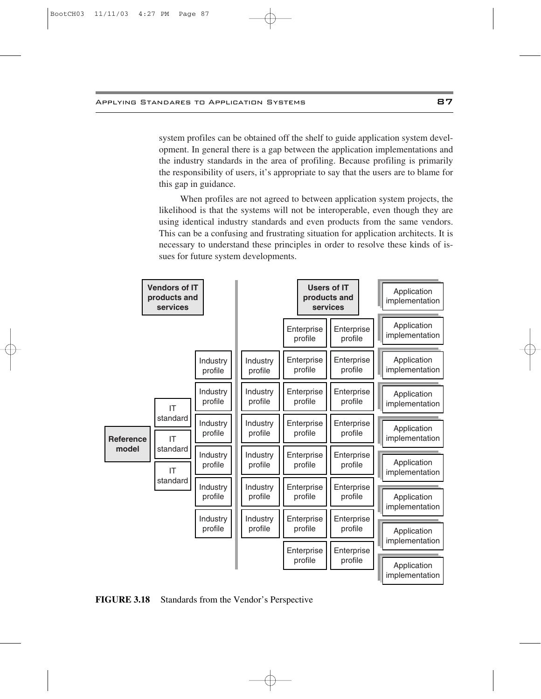## Applying Standares to Application Systems

system profiles can be obtained off the shelf to guide application system development. In general there is a gap between the application implementations and the industry standards in the area of profiling. Because profiling is primarily the responsibility of users, it's appropriate to say that the users are to blame for this gap in guidance.

When profiles are not agreed to between application system projects, the likelihood is that the systems will not be interoperable, even though they are using identical industry standards and even products from the same vendors. This can be a confusing and frustrating situation for application architects. It is necessary to understand these principles in order to resolve these kinds of issues for future system developments.



**FIGURE 3.18** Standards from the Vendor's Perspective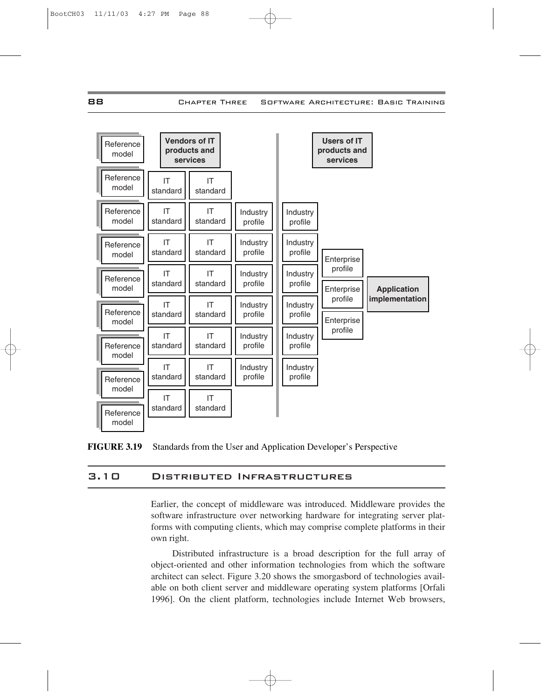



# 3.10 Distributed Infrastructures

Earlier, the concept of middleware was introduced. Middleware provides the software infrastructure over networking hardware for integrating server platforms with computing clients, which may comprise complete platforms in their own right.

Distributed infrastructure is a broad description for the full array of object-oriented and other information technologies from which the software architect can select. Figure 3.20 shows the smorgasbord of technologies available on both client server and middleware operating system platforms [Orfali 1996]. On the client platform, technologies include Internet Web browsers,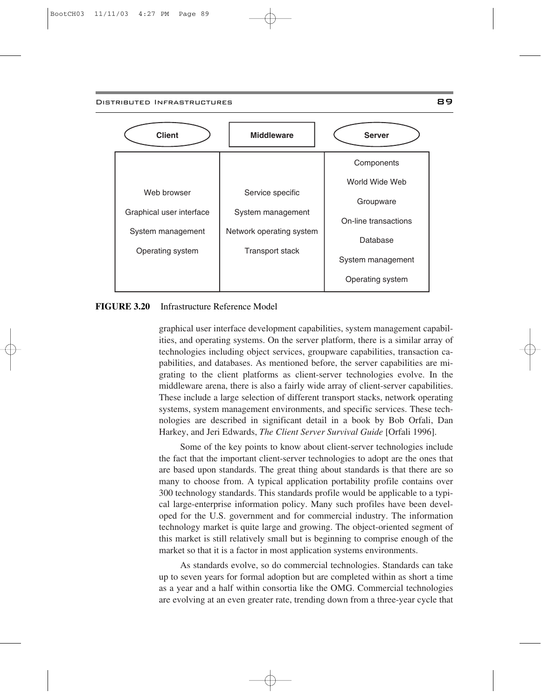

# **FIGURE 3.20** Infrastructure Reference Model

graphical user interface development capabilities, system management capabilities, and operating systems. On the server platform, there is a similar array of technologies including object services, groupware capabilities, transaction capabilities, and databases. As mentioned before, the server capabilities are migrating to the client platforms as client-server technologies evolve. In the middleware arena, there is also a fairly wide array of client-server capabilities. These include a large selection of different transport stacks, network operating systems, system management environments, and specific services. These technologies are described in significant detail in a book by Bob Orfali, Dan Harkey, and Jeri Edwards, *The Client Server Survival Guide* [Orfali 1996].

Some of the key points to know about client-server technologies include the fact that the important client-server technologies to adopt are the ones that are based upon standards. The great thing about standards is that there are so many to choose from. A typical application portability profile contains over 300 technology standards. This standards profile would be applicable to a typical large-enterprise information policy. Many such profiles have been developed for the U.S. government and for commercial industry. The information technology market is quite large and growing. The object-oriented segment of this market is still relatively small but is beginning to comprise enough of the market so that it is a factor in most application systems environments.

As standards evolve, so do commercial technologies. Standards can take up to seven years for formal adoption but are completed within as short a time as a year and a half within consortia like the OMG. Commercial technologies are evolving at an even greater rate, trending down from a three-year cycle that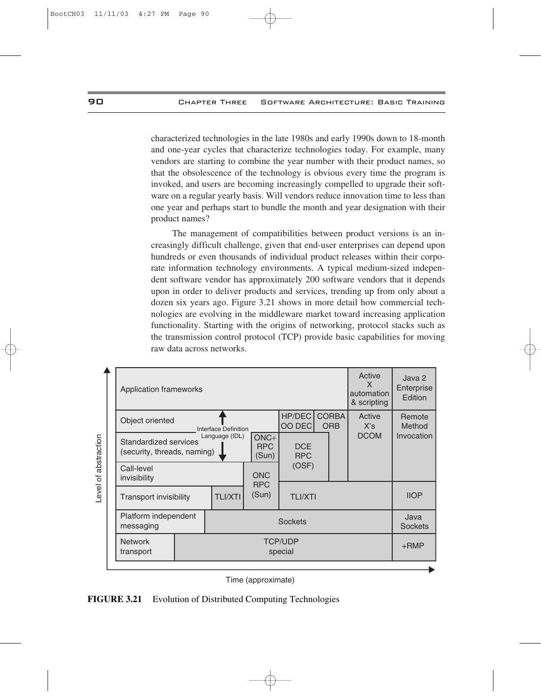characterized technologies in the late 1980s and early 1990s down to 18-month and one-year cycles that characterize technologies today. For example, many vendors are starting to combine the year number with their product names, so that the obsolescence of the technology is obvious every time the program is invoked, and users are becoming increasingly compelled to upgrade their software on a regular yearly basis. Will vendors reduce innovation time to less than one year and perhaps start to bundle the month and year designation with their product names?

The management of compatibilities between product versions is an increasingly difficult challenge, given that end-user enterprises can depend upon hundreds or even thousands of individual product releases within their corporate information technology environments. A typical medium-sized independent software vendor has approximately 200 software vendors that it depends upon in order to deliver products and services, trending up from only about a dozen six years ago. Figure 3.21 shows in more detail how commercial technologies are evolving in the middleware market toward increasing application functionality. Starting with the origins of networking, protocol stacks such as the transmission control protocol (TCP) provide basic capabilities for moving raw data across networks.

| abstraction<br>৳<br>Level | Application frameworks                                                 |  |                |                               |                            |               | Active<br>X<br>automation<br>& scripting | Java 2<br>Enterprise<br>Edition |
|---------------------------|------------------------------------------------------------------------|--|----------------|-------------------------------|----------------------------|---------------|------------------------------------------|---------------------------------|
|                           | Object oriented<br><b>Interface Definition</b>                         |  |                | HP/DEC<br>OO DEC              | <b>CORBA</b><br><b>ORB</b> | Active<br>X's | Remote<br>Method                         |                                 |
|                           | Language (IDL)<br>Standardized services<br>(security, threads, naming) |  |                | $ONC+$<br><b>RPC</b><br>(Sun) | <b>DCE</b><br><b>RPC</b>   |               | <b>DCOM</b>                              | Invocation                      |
|                           | Call-level<br>invisibility                                             |  |                | <b>ONC</b>                    | (OSF)                      |               |                                          |                                 |
|                           | <b>Transport invisibility</b>                                          |  | <b>TLI/XTI</b> | <b>RPC</b><br>(Sun)           | <b>TLI/XTI</b>             |               |                                          | <b>IIOP</b>                     |
|                           | Platform independent<br>messaging                                      |  | <b>Sockets</b> |                               |                            |               |                                          | Java<br><b>Sockets</b>          |
|                           | <b>Network</b><br><b>TCP/UDP</b><br>transport<br>special               |  |                |                               |                            |               |                                          | $+RMP$                          |
|                           |                                                                        |  |                |                               |                            |               |                                          |                                 |

Time (approximate)

**FIGURE 3.21** Evolution of Distributed Computing Technologies

90

BootCH03 11/11/03 4:27 PM Page 90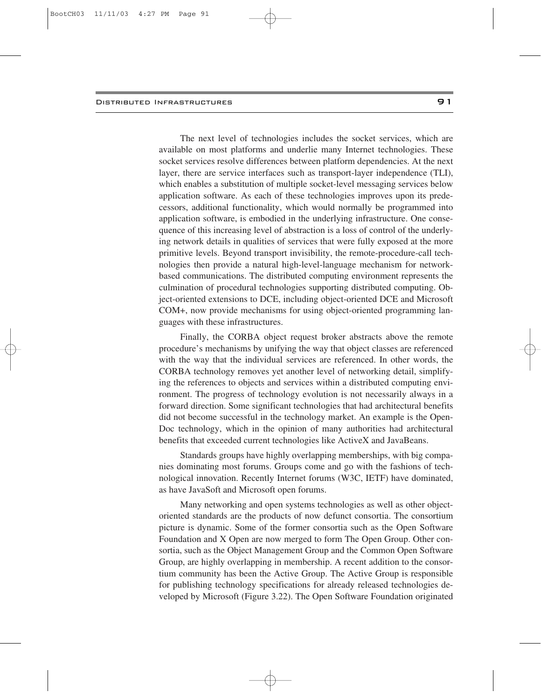#### Distributed Infrastructures

The next level of technologies includes the socket services, which are available on most platforms and underlie many Internet technologies. These socket services resolve differences between platform dependencies. At the next layer, there are service interfaces such as transport-layer independence (TLI), which enables a substitution of multiple socket-level messaging services below application software. As each of these technologies improves upon its predecessors, additional functionality, which would normally be programmed into application software, is embodied in the underlying infrastructure. One consequence of this increasing level of abstraction is a loss of control of the underlying network details in qualities of services that were fully exposed at the more primitive levels. Beyond transport invisibility, the remote-procedure-call technologies then provide a natural high-level-language mechanism for networkbased communications. The distributed computing environment represents the culmination of procedural technologies supporting distributed computing. Object-oriented extensions to DCE, including object-oriented DCE and Microsoft COM+, now provide mechanisms for using object-oriented programming languages with these infrastructures.

Finally, the CORBA object request broker abstracts above the remote procedure's mechanisms by unifying the way that object classes are referenced with the way that the individual services are referenced. In other words, the CORBA technology removes yet another level of networking detail, simplifying the references to objects and services within a distributed computing environment. The progress of technology evolution is not necessarily always in a forward direction. Some significant technologies that had architectural benefits did not become successful in the technology market. An example is the Open-Doc technology, which in the opinion of many authorities had architectural benefits that exceeded current technologies like ActiveX and JavaBeans.

Standards groups have highly overlapping memberships, with big companies dominating most forums. Groups come and go with the fashions of technological innovation. Recently Internet forums (W3C, IETF) have dominated, as have JavaSoft and Microsoft open forums.

Many networking and open systems technologies as well as other objectoriented standards are the products of now defunct consortia. The consortium picture is dynamic. Some of the former consortia such as the Open Software Foundation and X Open are now merged to form The Open Group. Other consortia, such as the Object Management Group and the Common Open Software Group, are highly overlapping in membership. A recent addition to the consortium community has been the Active Group. The Active Group is responsible for publishing technology specifications for already released technologies developed by Microsoft (Figure 3.22). The Open Software Foundation originated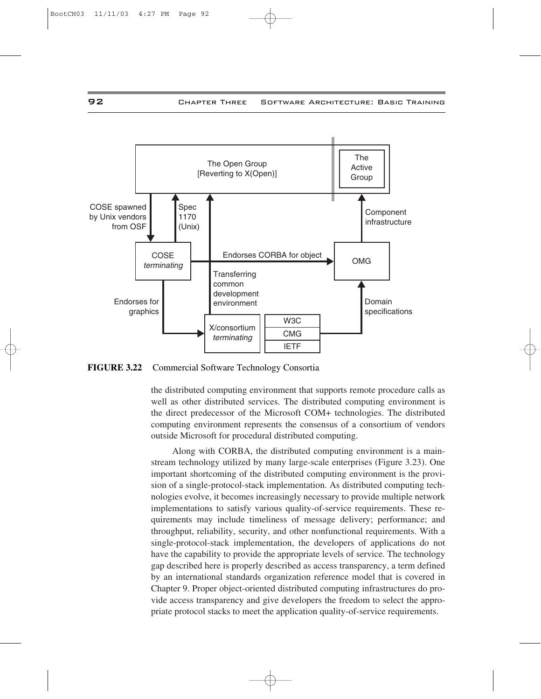



**FIGURE 3.22** Commercial Software Technology Consortia

the distributed computing environment that supports remote procedure calls as well as other distributed services. The distributed computing environment is the direct predecessor of the Microsoft COM+ technologies. The distributed computing environment represents the consensus of a consortium of vendors outside Microsoft for procedural distributed computing.

Along with CORBA, the distributed computing environment is a mainstream technology utilized by many large-scale enterprises (Figure 3.23). One important shortcoming of the distributed computing environment is the provision of a single-protocol-stack implementation. As distributed computing technologies evolve, it becomes increasingly necessary to provide multiple network implementations to satisfy various quality-of-service requirements. These requirements may include timeliness of message delivery; performance; and throughput, reliability, security, and other nonfunctional requirements. With a single-protocol-stack implementation, the developers of applications do not have the capability to provide the appropriate levels of service. The technology gap described here is properly described as access transparency, a term defined by an international standards organization reference model that is covered in Chapter 9. Proper object-oriented distributed computing infrastructures do provide access transparency and give developers the freedom to select the appropriate protocol stacks to meet the application quality-of-service requirements.

92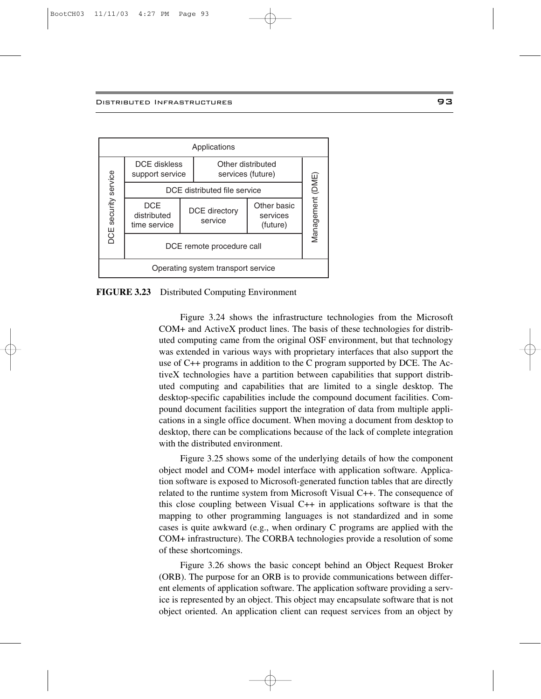

**FIGURE 3.23** Distributed Computing Environment

Figure 3.24 shows the infrastructure technologies from the Microsoft COM+ and ActiveX product lines. The basis of these technologies for distributed computing came from the original OSF environment, but that technology was extended in various ways with proprietary interfaces that also support the use of C++ programs in addition to the C program supported by DCE. The ActiveX technologies have a partition between capabilities that support distributed computing and capabilities that are limited to a single desktop. The desktop-specific capabilities include the compound document facilities. Compound document facilities support the integration of data from multiple applications in a single office document. When moving a document from desktop to desktop, there can be complications because of the lack of complete integration with the distributed environment.

Figure 3.25 shows some of the underlying details of how the component object model and COM+ model interface with application software. Application software is exposed to Microsoft-generated function tables that are directly related to the runtime system from Microsoft Visual C++. The consequence of this close coupling between Visual C++ in applications software is that the mapping to other programming languages is not standardized and in some cases is quite awkward (e.g., when ordinary C programs are applied with the COM+ infrastructure). The CORBA technologies provide a resolution of some of these shortcomings.

Figure 3.26 shows the basic concept behind an Object Request Broker (ORB). The purpose for an ORB is to provide communications between different elements of application software. The application software providing a service is represented by an object. This object may encapsulate software that is not object oriented. An application client can request services from an object by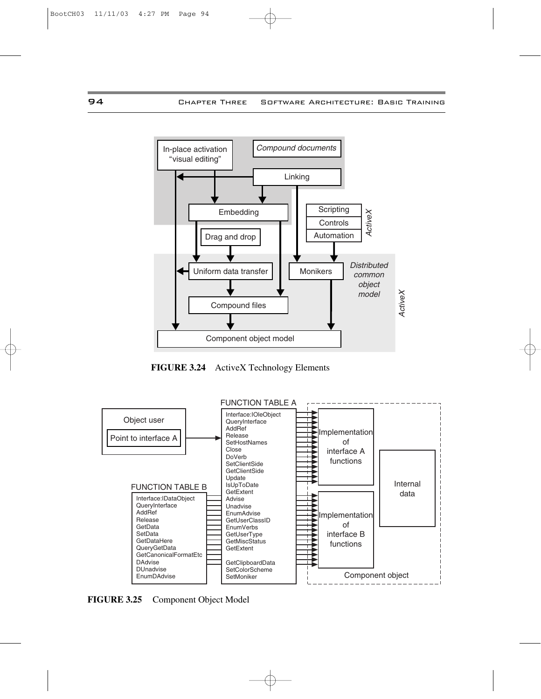



**FIGURE 3.24** ActiveX Technology Elements



**FIGURE 3.25** Component Object Model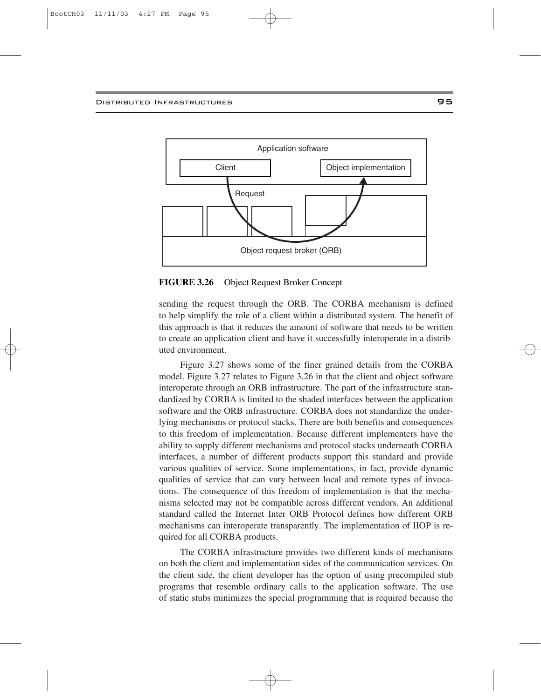

**FIGURE 3.26** Object Request Broker Concept

sending the request through the ORB. The CORBA mechanism is defined to help simplify the role of a client within a distributed system. The benefit of this approach is that it reduces the amount of software that needs to be written to create an application client and have it successfully interoperate in a distributed environment.

Figure 3.27 shows some of the finer grained details from the CORBA model. Figure 3.27 relates to Figure 3.26 in that the client and object software interoperate through an ORB infrastructure. The part of the infrastructure standardized by CORBA is limited to the shaded interfaces between the application software and the ORB infrastructure. CORBA does not standardize the underlying mechanisms or protocol stacks. There are both benefits and consequences to this freedom of implementation. Because different implementers have the ability to supply different mechanisms and protocol stacks underneath CORBA interfaces, a number of different products support this standard and provide various qualities of service. Some implementations, in fact, provide dynamic qualities of service that can vary between local and remote types of invocations. The consequence of this freedom of implementation is that the mechanisms selected may not be compatible across different vendors. An additional standard called the Internet Inter ORB Protocol defines how different ORB mechanisms can interoperate transparently. The implementation of IIOP is required for all CORBA products.

The CORBA infrastructure provides two different kinds of mechanisms on both the client and implementation sides of the communication services. On the client side, the client developer has the option of using precompiled stub programs that resemble ordinary calls to the application software. The use of static stubs minimizes the special programming that is required because the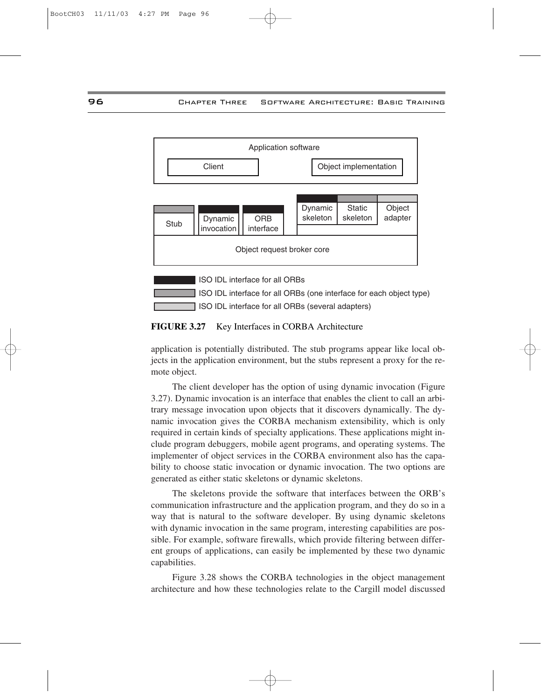

ISO IDL interface for all ORBs (one interface for each object type)

ISO IDL interface for all ORBs (several adapters)

**FIGURE 3.27** Key Interfaces in CORBA Architecture

application is potentially distributed. The stub programs appear like local objects in the application environment, but the stubs represent a proxy for the remote object.

The client developer has the option of using dynamic invocation (Figure 3.27). Dynamic invocation is an interface that enables the client to call an arbitrary message invocation upon objects that it discovers dynamically. The dynamic invocation gives the CORBA mechanism extensibility, which is only required in certain kinds of specialty applications. These applications might include program debuggers, mobile agent programs, and operating systems. The implementer of object services in the CORBA environment also has the capability to choose static invocation or dynamic invocation. The two options are generated as either static skeletons or dynamic skeletons.

The skeletons provide the software that interfaces between the ORB's communication infrastructure and the application program, and they do so in a way that is natural to the software developer. By using dynamic skeletons with dynamic invocation in the same program, interesting capabilities are possible. For example, software firewalls, which provide filtering between different groups of applications, can easily be implemented by these two dynamic capabilities.

Figure 3.28 shows the CORBA technologies in the object management architecture and how these technologies relate to the Cargill model discussed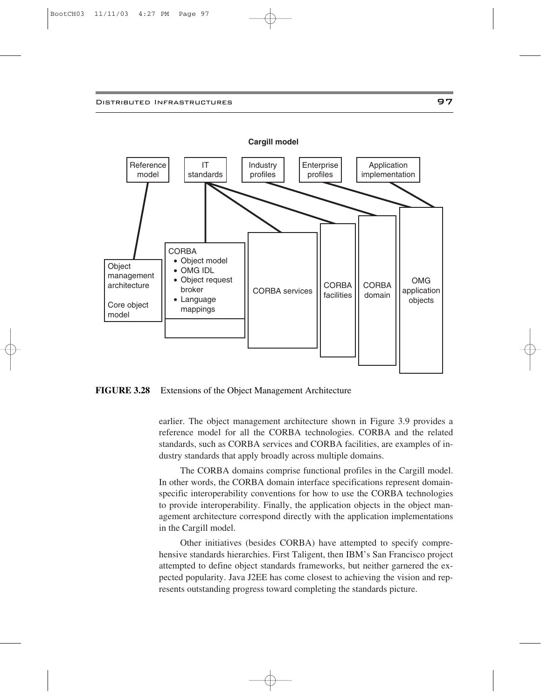

**Cargill model**

### **FIGURE 3.28** Extensions of the Object Management Architecture

earlier. The object management architecture shown in Figure 3.9 provides a reference model for all the CORBA technologies. CORBA and the related standards, such as CORBA services and CORBA facilities, are examples of industry standards that apply broadly across multiple domains.

The CORBA domains comprise functional profiles in the Cargill model. In other words, the CORBA domain interface specifications represent domainspecific interoperability conventions for how to use the CORBA technologies to provide interoperability. Finally, the application objects in the object management architecture correspond directly with the application implementations in the Cargill model.

Other initiatives (besides CORBA) have attempted to specify comprehensive standards hierarchies. First Taligent, then IBM's San Francisco project attempted to define object standards frameworks, but neither garnered the expected popularity. Java J2EE has come closest to achieving the vision and represents outstanding progress toward completing the standards picture.

<u>s</u>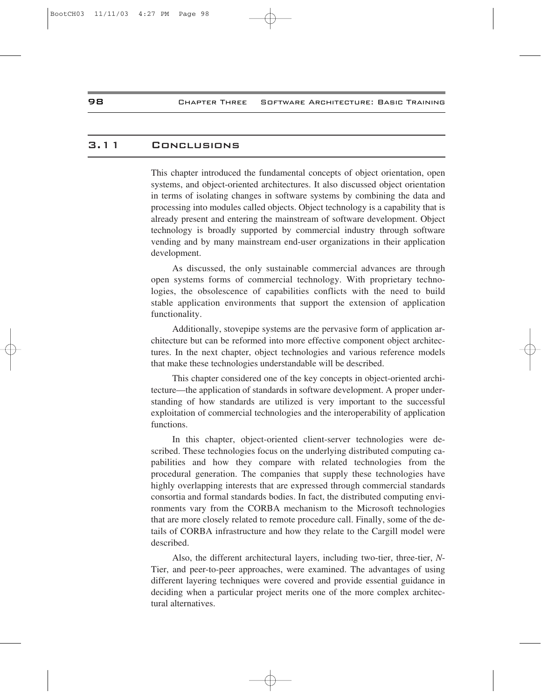# 3.11 Conclusions

This chapter introduced the fundamental concepts of object orientation, open systems, and object-oriented architectures. It also discussed object orientation in terms of isolating changes in software systems by combining the data and processing into modules called objects. Object technology is a capability that is already present and entering the mainstream of software development. Object technology is broadly supported by commercial industry through software vending and by many mainstream end-user organizations in their application development.

As discussed, the only sustainable commercial advances are through open systems forms of commercial technology. With proprietary technologies, the obsolescence of capabilities conflicts with the need to build stable application environments that support the extension of application functionality.

Additionally, stovepipe systems are the pervasive form of application architecture but can be reformed into more effective component object architectures. In the next chapter, object technologies and various reference models that make these technologies understandable will be described.

This chapter considered one of the key concepts in object-oriented architecture—the application of standards in software development. A proper understanding of how standards are utilized is very important to the successful exploitation of commercial technologies and the interoperability of application functions.

In this chapter, object-oriented client-server technologies were described. These technologies focus on the underlying distributed computing capabilities and how they compare with related technologies from the procedural generation. The companies that supply these technologies have highly overlapping interests that are expressed through commercial standards consortia and formal standards bodies. In fact, the distributed computing environments vary from the CORBA mechanism to the Microsoft technologies that are more closely related to remote procedure call. Finally, some of the details of CORBA infrastructure and how they relate to the Cargill model were described.

Also, the different architectural layers, including two-tier, three-tier, *N*-Tier, and peer-to-peer approaches, were examined. The advantages of using different layering techniques were covered and provide essential guidance in deciding when a particular project merits one of the more complex architectural alternatives.

#### 98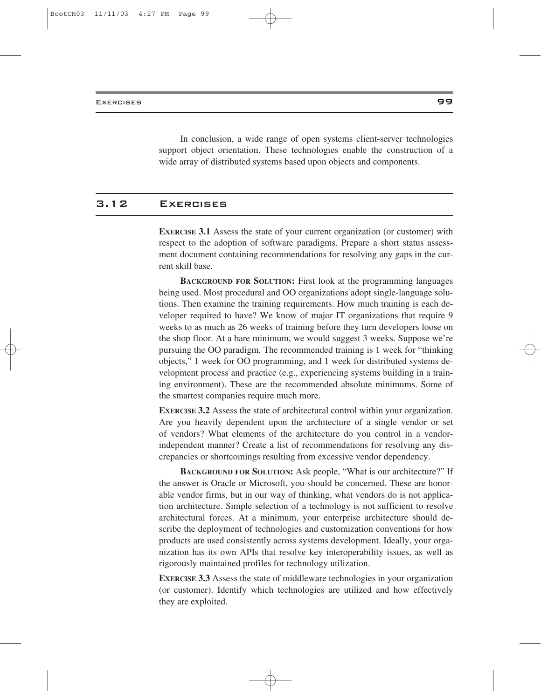### **EXERCISES**

In conclusion, a wide range of open systems client-server technologies support object orientation. These technologies enable the construction of a wide array of distributed systems based upon objects and components.

# 3.12 Exercises

**EXERCISE 3.1** Assess the state of your current organization (or customer) with respect to the adoption of software paradigms. Prepare a short status assessment document containing recommendations for resolving any gaps in the current skill base.

**BACKGROUND FOR SOLUTION:** First look at the programming languages being used. Most procedural and OO organizations adopt single-language solutions. Then examine the training requirements. How much training is each developer required to have? We know of major IT organizations that require 9 weeks to as much as 26 weeks of training before they turn developers loose on the shop floor. At a bare minimum, we would suggest 3 weeks. Suppose we're pursuing the OO paradigm. The recommended training is 1 week for "thinking objects," 1 week for OO programming, and 1 week for distributed systems development process and practice (e.g., experiencing systems building in a training environment). These are the recommended absolute minimums. Some of the smartest companies require much more.

**EXERCISE 3.2** Assess the state of architectural control within your organization. Are you heavily dependent upon the architecture of a single vendor or set of vendors? What elements of the architecture do you control in a vendorindependent manner? Create a list of recommendations for resolving any discrepancies or shortcomings resulting from excessive vendor dependency.

**BACKGROUND FOR SOLUTION:** Ask people, "What is our architecture?" If the answer is Oracle or Microsoft, you should be concerned. These are honorable vendor firms, but in our way of thinking, what vendors do is not application architecture. Simple selection of a technology is not sufficient to resolve architectural forces. At a minimum, your enterprise architecture should describe the deployment of technologies and customization conventions for how products are used consistently across systems development. Ideally, your organization has its own APIs that resolve key interoperability issues, as well as rigorously maintained profiles for technology utilization.

**EXERCISE 3.3** Assess the state of middleware technologies in your organization (or customer). Identify which technologies are utilized and how effectively they are exploited.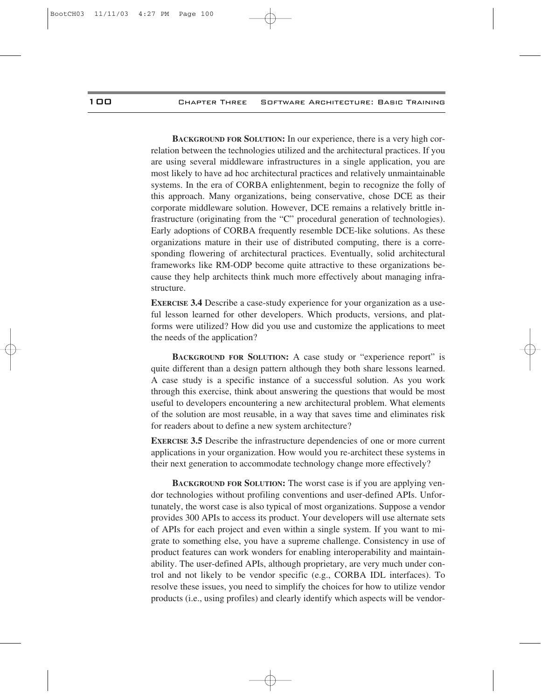**BACKGROUND FOR SOLUTION:** In our experience, there is a very high correlation between the technologies utilized and the architectural practices. If you are using several middleware infrastructures in a single application, you are most likely to have ad hoc architectural practices and relatively unmaintainable systems. In the era of CORBA enlightenment, begin to recognize the folly of this approach. Many organizations, being conservative, chose DCE as their corporate middleware solution. However, DCE remains a relatively brittle infrastructure (originating from the "C" procedural generation of technologies). Early adoptions of CORBA frequently resemble DCE-like solutions. As these organizations mature in their use of distributed computing, there is a corresponding flowering of architectural practices. Eventually, solid architectural frameworks like RM-ODP become quite attractive to these organizations because they help architects think much more effectively about managing infrastructure.

**EXERCISE 3.4** Describe a case-study experience for your organization as a useful lesson learned for other developers. Which products, versions, and platforms were utilized? How did you use and customize the applications to meet the needs of the application?

**BACKGROUND FOR SOLUTION:** A case study or "experience report" is quite different than a design pattern although they both share lessons learned. A case study is a specific instance of a successful solution. As you work through this exercise, think about answering the questions that would be most useful to developers encountering a new architectural problem. What elements of the solution are most reusable, in a way that saves time and eliminates risk for readers about to define a new system architecture?

**EXERCISE 3.5** Describe the infrastructure dependencies of one or more current applications in your organization. How would you re-architect these systems in their next generation to accommodate technology change more effectively?

**BACKGROUND FOR SOLUTION:** The worst case is if you are applying vendor technologies without profiling conventions and user-defined APIs. Unfortunately, the worst case is also typical of most organizations. Suppose a vendor provides 300 APIs to access its product. Your developers will use alternate sets of APIs for each project and even within a single system. If you want to migrate to something else, you have a supreme challenge. Consistency in use of product features can work wonders for enabling interoperability and maintainability. The user-defined APIs, although proprietary, are very much under control and not likely to be vendor specific (e.g., CORBA IDL interfaces). To resolve these issues, you need to simplify the choices for how to utilize vendor products (i.e., using profiles) and clearly identify which aspects will be vendor-

100

BootCH03 11/11/03 4:27 PM Page 100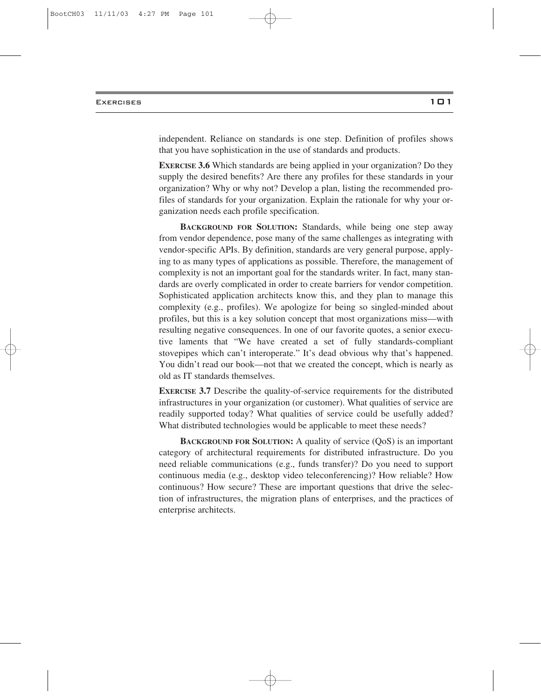BootCH03 11/11/03 4:27 PM Page 101

independent. Reliance on standards is one step. Definition of profiles shows that you have sophistication in the use of standards and products.

**EXERCISE 3.6** Which standards are being applied in your organization? Do they supply the desired benefits? Are there any profiles for these standards in your organization? Why or why not? Develop a plan, listing the recommended profiles of standards for your organization. Explain the rationale for why your organization needs each profile specification.

**BACKGROUND FOR SOLUTION:** Standards, while being one step away from vendor dependence, pose many of the same challenges as integrating with vendor-specific APIs. By definition, standards are very general purpose, applying to as many types of applications as possible. Therefore, the management of complexity is not an important goal for the standards writer. In fact, many standards are overly complicated in order to create barriers for vendor competition. Sophisticated application architects know this, and they plan to manage this complexity (e.g., profiles). We apologize for being so singled-minded about profiles, but this is a key solution concept that most organizations miss—with resulting negative consequences. In one of our favorite quotes, a senior executive laments that "We have created a set of fully standards-compliant stovepipes which can't interoperate." It's dead obvious why that's happened. You didn't read our book—not that we created the concept, which is nearly as old as IT standards themselves.

**EXERCISE 3.7** Describe the quality-of-service requirements for the distributed infrastructures in your organization (or customer). What qualities of service are readily supported today? What qualities of service could be usefully added? What distributed technologies would be applicable to meet these needs?

**BACKGROUND FOR SOLUTION:** A quality of service (QoS) is an important category of architectural requirements for distributed infrastructure. Do you need reliable communications (e.g., funds transfer)? Do you need to support continuous media (e.g., desktop video teleconferencing)? How reliable? How continuous? How secure? These are important questions that drive the selection of infrastructures, the migration plans of enterprises, and the practices of enterprise architects.